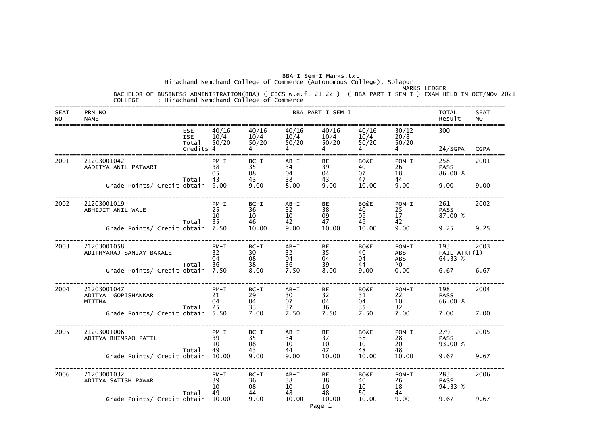Hirachand Nemchand College of Commerce (Autonomous College), Solapur

| <b>SEAT</b><br><b>NO</b> | PRN NO<br><b>NAME</b>                              |                                                |                            |                          |                            | BBA PART I SEM I                            |                        |                           | <b>TOTAL</b><br>Result         | <b>SEAT</b><br><b>NO</b> |
|--------------------------|----------------------------------------------------|------------------------------------------------|----------------------------|--------------------------|----------------------------|---------------------------------------------|------------------------|---------------------------|--------------------------------|--------------------------|
|                          |                                                    | <b>ESE</b><br><b>ISE</b><br>Total<br>Credits 4 | 40/16<br>10/4<br>50/20     | 40/16<br>10/4<br>50/20   | 40/16<br>50/20             | 40/16<br>$10/4$ $10/4$ $10/4$<br>50/20<br>4 | 40/16<br>50/20         | 30/12<br>20/8<br>50/20    | 300<br>24/SGPA                 | <b>CGPA</b>              |
| 2001                     | 21203001042<br>AADITYA ANIL PATWARI                | Total                                          | $PM - I$<br>38<br>05<br>43 | $BC-I$<br>35<br>08<br>43 | $AB - I$<br>34<br>04<br>38 | <b>BE</b><br>39<br>04<br>43                 | BO&E<br>40<br>07<br>47 | $POM-I$<br>26<br>18<br>44 | 258<br><b>PASS</b><br>86.00 %  | 2001                     |
|                          | Grade Points/ Credit obtain 9.00                   |                                                |                            | 9.00                     | 8.00                       | 9.00                                        | 10.00                  | 9.00                      | 9.00                           | 9.00                     |
| 2002                     | 21203001019<br>ABHIJIT ANIL WALE                   |                                                | $PM - I$<br>25<br>10<br>35 | $BC-I$<br>36<br>10       | $AB - I$<br>32<br>10<br>42 | <b>BE</b><br>38<br>09<br>47                 | BO&E<br>40<br>09<br>49 | $POM-I$<br>25<br>17<br>42 | 261<br><b>PASS</b><br>87.00 %  | 2002                     |
|                          | Grade Points/ Credit obtain 7.50                   | Total                                          |                            | 46<br>10.00              | 9.00                       | 10.00                                       | 10.00                  | 9.00                      | 9.25                           | 9.25                     |
| 2003                     | 21203001058<br>ADITHYARAJ SANJAY BAKALE            |                                                | $PM - I$<br>32<br>04       | $BC-I$<br>30<br>08       | $AB-I$<br>32<br>04         | BE<br>35<br>04                              | BO&E<br>40<br>04       | $POM-I$<br>ABS<br>ABS     | 193<br>FAIL ATKT(1)<br>64.33 % | 2003                     |
|                          | Grade Points/ Credit obtain 7.50                   | Total                                          | 36                         | 38<br>8.00               | 36<br>7.50                 | 39<br>8.00                                  | 44<br>9.00             | $*0$<br>0.00              | 6.67                           | 6.67                     |
| 2004                     | 21203001047<br>ADITYA GOPISHANKAR<br><b>MITTHA</b> | Total                                          | $PM - I$<br>21<br>04<br>25 | $BC-I$<br>29<br>04<br>33 | $AB - I$<br>30<br>07<br>37 | BE<br>32<br>04<br>36                        | BO&E<br>31<br>04<br>35 | $POM-I$<br>22<br>10<br>32 | 198<br><b>PASS</b><br>66.00 %  | 2004                     |
|                          | Grade Points/ Credit obtain 5.50                   |                                                |                            | 7.00                     | 7.50                       | 7.50                                        | 7.50                   | 7.00                      | 7.00                           | 7.00                     |
| 2005                     | 21203001006<br>ADITYA BHIMRAO PATIL                |                                                | $PM - I$<br>39<br>10       | $BC-I$<br>35<br>08       | $AB - I$<br>34<br>10       | BE<br>37<br>10                              | BO&E<br>38<br>10       | $POM-I$<br>28<br>20       | 279<br><b>PASS</b><br>93.00 %  | 2005                     |
|                          | Grade Points/ Credit obtain                        | Total                                          | 49<br>10.00                | 43<br>9.00               | 44<br>9.00                 | 47<br>10.00                                 | 48<br>10.00            | 48<br>10.00               | 9.67                           | 9.67                     |
| 2006                     | 21203001032<br>ADITYA SATISH PAWAR                 | Total                                          | $PM - I$<br>39<br>10<br>49 | $BC-I$<br>36<br>08<br>44 | $AB - I$<br>38<br>10<br>48 | BE<br>38<br>10<br>48                        | BO&E<br>40<br>10<br>50 | $POM-I$<br>26<br>18<br>44 | 283<br><b>PASS</b><br>94.33 %  | 2006                     |
|                          | Grade Points/ Credit obtain                        |                                                | 10.00                      | 9.00                     | 10.00                      | 10.00<br>Page 1                             | 10.00                  | 9.00                      | 9.67                           | 9.67                     |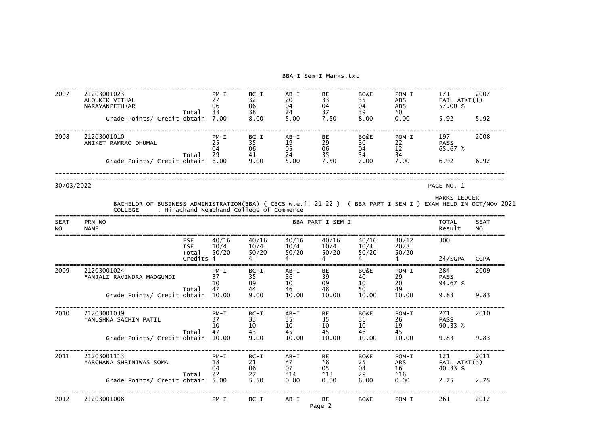| 2007              | 21203001023<br>ALOUKIK VITHAL<br>NARAYANPETHKAR                                                                                 |                                                | $PM - I$<br>27<br>06       | $BC-I$<br>32<br>06                       | $AB - I$<br>20<br>04                    | <b>BE</b><br>33<br>04             | BO&E<br>35<br>04                      | $POM-I$<br><b>ABS</b><br><b>ABS</b> | 171<br>$FAIL$ $ATKT(1)$<br>57.00 % | 2007                     |
|-------------------|---------------------------------------------------------------------------------------------------------------------------------|------------------------------------------------|----------------------------|------------------------------------------|-----------------------------------------|-----------------------------------|---------------------------------------|-------------------------------------|------------------------------------|--------------------------|
|                   | Grade Points/ Credit obtain                                                                                                     | Total                                          | 33<br>7.00                 | 38<br>8.00                               | 24<br>5.00                              | 37<br>7.50                        | 39<br>8.00                            | *0<br>0.00                          | 5.92                               | 5.92                     |
| 2008              | 21203001010<br>ANIKET RAMRAO DHUMAL                                                                                             | Total                                          | $PM - I$<br>25<br>04<br>29 | $BC-I$<br>35<br>06<br>41                 | $AB - I$<br>19<br>05<br>24              | BE<br>29<br>06<br>35              | BO&E<br>30<br>04<br>34                | $POM-I$<br>22<br>12<br>34           | 197<br><b>PASS</b><br>65.67 %      | 2008                     |
|                   | Grade Points/ Credit obtain                                                                                                     |                                                | 6.00                       | 9.00                                     | 5.00                                    | 7.50                              | 7.00                                  | 7.00                                | 6.92                               | 6.92                     |
| 30/03/2022        |                                                                                                                                 |                                                |                            |                                          |                                         |                                   |                                       |                                     | PAGE NO. 1                         |                          |
|                   | BACHELOR OF BUSINESS ADMINISTRATION(BBA) ( CBCS w.e.f. 21-22 ) ( BBA PART I SEM I ) EXAM HELD IN OCT/NOV 2021<br><b>COLLEGE</b> |                                                |                            | : Hirachand Nemchand College of Commerce |                                         |                                   |                                       |                                     | <b>MARKS LEDGER</b>                |                          |
| <b>SEAT</b><br>NO | PRN NO<br><b>NAME</b>                                                                                                           |                                                |                            |                                          |                                         | BBA PART I SEM I                  |                                       |                                     | <b>TOTAL</b><br>Result             | <b>SEAT</b><br><b>NO</b> |
|                   |                                                                                                                                 | <b>ESE</b><br><b>ISE</b><br>Total<br>Credits 4 | 40/16<br>10/4<br>50/20     | 40/16<br>10/4<br>50/20                   | 40/16<br>10/4<br>50/20                  | 40/16<br>10/4<br>50/20            | 40/16<br>10/4<br>50/20                | 30/12<br>20/8<br>50/20              | 300<br>24/SGPA                     | <b>CGPA</b>              |
| 2009              | 21203001024<br>*ANJALI RAVINDRA MADGUNDI                                                                                        | Total                                          | $PM - I$<br>37<br>10<br>47 | $BC-I$<br>35<br>09<br>44                 | $AB - I$<br>36<br>10<br>46              | BE<br>39<br>09<br>48              | BO&E<br>40<br>10<br>50                | $POM-I$<br>29<br>20<br>49           | 284<br><b>PASS</b><br>94.67 %      | 2009                     |
|                   | Grade Points/ Credit obtain                                                                                                     |                                                | 10.00                      | 9.00                                     | 10.00                                   | 10.00                             | 10.00                                 | 10.00                               | 9.83                               | 9.83                     |
| 2010              | 21203001039<br>*ANUSHKA SACHIN PATIL                                                                                            | Total                                          | $PM - I$<br>37<br>10<br>47 | $BC-I$<br>33<br>10<br>43                 | $AB - I$<br>35<br>10 <sup>°</sup><br>45 | BE<br>35<br>10 <sup>°</sup><br>45 | BO&E<br>36<br>10 <sup>1</sup><br>46 7 | $POM-I$<br>26<br>19<br>45           | 271<br><b>PASS</b><br>90.33 %      | 2010                     |
|                   | Grade Points/ Credit obtain 10.00                                                                                               |                                                |                            | 9.00                                     | 10.00                                   | 10.00                             | 10.00                                 | 10.00                               | 9.83                               | 9.83                     |
| 2011              | 21203001113<br>*ARCHANA SHRINIWAS SOMA                                                                                          | Total                                          | $PM - I$<br>18<br>04<br>22 | $BC-I$<br>21<br>06<br>27                 | $AB - I$<br>$*7$<br>07 — 1<br>$*14$     | BE<br>$*8$<br>$*13$               | BO&E<br>25<br>04 04                   | $POM-I$<br>ABS<br>$*16$             | 121<br>FAIL ATKT(3)<br>40.33 %     | 2011                     |
|                   | Grade Points/ Credit obtain 5.00                                                                                                |                                                |                            | 5.50                                     | 0.00                                    | 0.00                              | 6.00                                  | 0.00                                | 2.75                               | 2.75                     |
| 2012              | 21203001008                                                                                                                     |                                                | $PM - I$                   | $BC-I$                                   | $AB-I$                                  | BE<br>Page 2                      | BO&E                                  | $POM-I$                             | 261                                | 2012                     |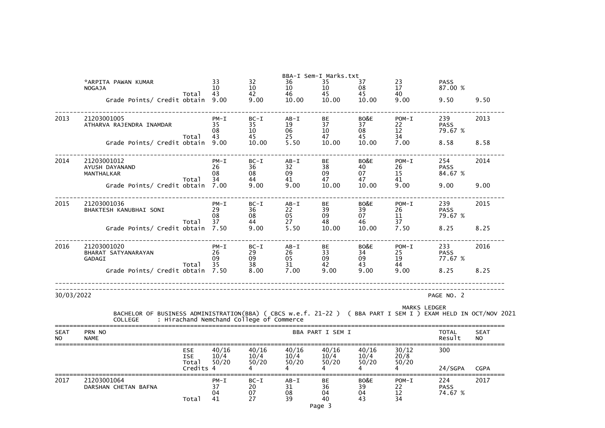|                          | *ARPITA PAWAN KUMAR<br><b>NOGAJA</b>                                                                                            |                                                | 33<br>10                   | 32<br>10                                 | 36<br>10                   | BBA-I Sem-I Marks.txt<br>35<br>10 | 37<br>08               | 23<br>17                  | <b>PASS</b><br>87.00 %        |                          |
|--------------------------|---------------------------------------------------------------------------------------------------------------------------------|------------------------------------------------|----------------------------|------------------------------------------|----------------------------|-----------------------------------|------------------------|---------------------------|-------------------------------|--------------------------|
|                          | Grade Points/ Credit obtain 9.00                                                                                                | Total                                          | 43                         | 42<br>9.00                               | 46<br>10.00                | 45<br>10.00                       | 45<br>10.00            | 40<br>9.00                | 9.50                          | 9.50                     |
| 2013                     | 21203001005<br>ATHARVA RAJENDRA INAMDAR                                                                                         | Total                                          | $PM - I$<br>35<br>08<br>43 | $BC-I$<br>35<br>10<br>45                 | $AB - I$<br>19<br>06<br>25 | BE<br>37<br>10<br>47              | BO&E<br>37<br>08<br>45 | $POM-I$<br>22<br>12<br>34 | 239<br><b>PASS</b><br>79.67 % | 2013                     |
|                          | Grade Points/ Credit obtain                                                                                                     |                                                | 9.00                       | 10.00                                    | 5.50                       | 10.00                             | 10.00                  | 7.00                      | 8.58                          | 8.58                     |
| 2014                     | 21203001012<br>AYUSH DAYANAND<br>MANTHALKAR                                                                                     | Total                                          | $PM - I$<br>26<br>08<br>34 | $BC-I$<br>36<br>08<br>44                 | $AB - I$<br>32<br>09<br>41 | BE<br>38<br>09<br>47              | BO&E<br>40<br>07<br>47 | $POM-I$<br>26<br>15<br>41 | 254<br><b>PASS</b><br>84.67 % | 2014                     |
|                          | Grade Points/ Credit obtain                                                                                                     |                                                | 7.00                       | 9.00                                     | 9.00                       | 10.00                             | 10.00                  | 9.00                      | 9.00                          | 9.00                     |
| 2015                     | 21203001036<br>BHAKTESH KANUBHAI SONI                                                                                           |                                                | $PM - I$<br>29<br>08<br>37 | $BC-I$<br>36<br>08<br>44                 | $AB - I$<br>22<br>05<br>27 | BE<br>39<br>09<br>48              | BO&E<br>39<br>07<br>46 | $POM-I$<br>26<br>11<br>37 | 239<br><b>PASS</b><br>79.67 % | 2015                     |
|                          | Grade Points/ Credit obtain                                                                                                     | Total                                          | 7.50                       | 9.00                                     | 5.50                       | 10.00                             | 10.00                  | 7.50                      | 8.25                          | 8.25                     |
| 2016                     | 21203001020<br>BHARAT SATYANARAYAN<br><b>GADAGI</b>                                                                             |                                                | $PM - I$<br>26<br>09       | $BC-I$<br>29<br>09                       | $AB-I$<br>26<br>05         | BE<br>33<br>09                    | BO&E<br>34<br>09       | $POM-I$<br>25<br>19       | 233<br><b>PASS</b><br>77.67 % | 2016                     |
|                          | Grade Points/ Credit obtain 7.50                                                                                                | Total                                          | 35                         | 38<br>8.00                               | 31<br>7.00                 | 42<br>9.00                        | 43<br>9.00             | 44<br>9.00                | 8.25                          | 8.25                     |
| 30/03/2022               |                                                                                                                                 |                                                |                            |                                          |                            |                                   |                        |                           | PAGE NO. 2                    |                          |
|                          | BACHELOR OF BUSINESS ADMINISTRATION(BBA) ( CBCS w.e.f. 21-22 ) ( BBA PART I SEM I ) EXAM HELD IN OCT/NOV 2021<br><b>COLLEGE</b> |                                                |                            | : Hirachand Nemchand College of Commerce |                            |                                   |                        | <b>MARKS LEDGER</b>       |                               |                          |
| <b>SEAT</b><br><b>NO</b> | PRN NO<br><b>NAME</b>                                                                                                           |                                                |                            |                                          |                            | BBA PART I SEM I                  |                        |                           | <b>TOTAL</b><br>Result        | <b>SEAT</b><br><b>NO</b> |
|                          |                                                                                                                                 | <b>ESE</b><br><b>ISE</b><br>Total<br>Credits 4 | 40/16<br>10/4<br>50/20     | 40/16<br>10/4<br>50/20                   | 40/16<br>10/4<br>50/20     | 40/16<br>10/4<br>50/20            | 40/16<br>10/4<br>50/20 | 30/12<br>20/8<br>50/20    | 300<br>24/SGPA                | <b>CGPA</b>              |
| 2017                     | 21203001064<br>DARSHAN CHETAN BAFNA                                                                                             | Total                                          | $PM - I$<br>37<br>04<br>41 | $BC-I$<br>20<br>07<br>27                 | $AB - I$<br>31<br>08<br>39 | BE<br>36<br>04<br>40<br>Page 3    | BO&E<br>39<br>04<br>43 | $POM-I$<br>22<br>12<br>34 | 224<br><b>PASS</b><br>74.67 % | 2017                     |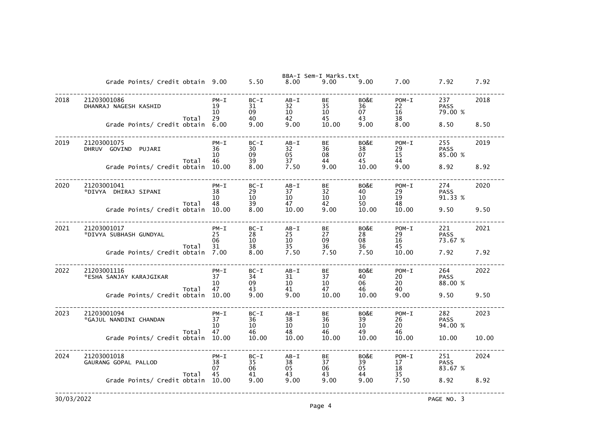|      |                                                 |                            |                                                         |                            | BBA-I Sem-I Marks.txt |                        |                           |                               |       |
|------|-------------------------------------------------|----------------------------|---------------------------------------------------------|----------------------------|-----------------------|------------------------|---------------------------|-------------------------------|-------|
|      | Grade Points/ Credit obtain 9.00                |                            | 5.50                                                    | 8.00                       | 9.00                  | 9.00                   | 7.00                      | 7.92                          | 7.92  |
| 2018 | 21203001086<br>DHANRAJ NAGESH KASHID<br>Total   | $PM - I$<br>19<br>10<br>29 | $BC-I$<br>31<br>09<br>40                                | $AB - I$<br>32<br>10<br>42 | BE<br>35<br>10<br>45  | BO&E<br>36<br>07<br>43 | $POM-I$<br>22<br>16<br>38 | 237<br><b>PASS</b><br>79.00 % | 2018  |
|      | Grade Points/ Credit obtain                     | 6.00                       | 9.00                                                    | 9.00                       | 10.00                 | 9.00                   | 8.00                      | 8.50                          | 8.50  |
| 2019 | 21203001075<br>DHRUV GOVIND<br>PUJARI<br>Total  | $PM - I$<br>36<br>10<br>46 | $BC-I$<br>30<br>09<br>39                                | $AB - I$<br>32<br>05<br>37 | BЕ<br>36<br>08<br>44  | BO&E<br>38<br>07<br>45 | $POM-I$<br>29<br>15<br>44 | 255<br><b>PASS</b><br>85.00 % | 2019  |
|      | Grade Points/ Credit obtain                     | 10.00                      | 8.00                                                    | 7.50                       | 9.00                  | 10.00                  | 9.00                      | 8.92                          | 8.92  |
| 2020 | 21203001041<br>*DIVYA DHIRAJ SIPANI<br>Total    | $PM - I$<br>38<br>10<br>48 | $BC-I$<br>29<br>10<br>39                                | $AB - I$<br>37<br>10<br>47 | BЕ<br>32<br>10<br>42  | BO&E<br>40<br>10<br>50 | $POM-I$<br>29<br>19<br>48 | 274<br><b>PASS</b><br>91.33 % | 2020  |
|      | Grade Points/ Credit obtain                     | 10.00                      | 8.00                                                    | 10.00                      | 9.00                  | 10.00                  | 10.00                     | 9.50                          | 9.50  |
| 2021 | 21203001017<br>*DIVYA SUBHASH GUNDYAL<br>Total  | $PM - I$<br>25<br>06<br>31 | $BC-I$<br>28<br>10<br>38                                | $AB - I$<br>25<br>10<br>35 | BЕ<br>27<br>09<br>36  | BO&E<br>28<br>08<br>36 | $POM-I$<br>29<br>16<br>45 | 221<br><b>PASS</b><br>73.67 % | 2021  |
|      | Grade Points/ Credit obtain                     | 7.00                       | 8.00                                                    | 7.50                       | 7.50                  | 7.50                   | 10.00                     | 7.92                          | 7.92  |
| 2022 | 21203001116<br>*ESHA SANJAY KARAJGIKAR<br>Total | $PM - I$<br>37<br>10<br>47 | $BC-I$<br>34<br>09<br>43                                | $AB - I$<br>31<br>10<br>41 | BЕ<br>37<br>10<br>47  | BO&E<br>40<br>06<br>46 | $POM-I$<br>20<br>20<br>40 | 264<br><b>PASS</b><br>88.00 % | 2022  |
|      | Grade Points/ Credit obtain                     | 10.00                      | 9.00                                                    | 9.00                       | 10.00                 | 10.00                  | 9.00                      | 9.50                          | 9.50  |
| 2023 | 21203001094<br>*GAJUL NANDINI CHANDAN<br>Total  | $PM - I$<br>37<br>10<br>47 | $BC-I$<br>$\begin{array}{c} 36 \\ 10 \end{array}$<br>46 | $AB - I$<br>38<br>10<br>48 | BE<br>36<br>10<br>46  | BO&E<br>39<br>10<br>49 | $POM-I$<br>26<br>20<br>46 | 282<br><b>PASS</b><br>94.00 % | 2023  |
|      | Grade Points/ Credit obtain 10.00               |                            | 10.00                                                   | 10.00                      | 10.00                 | 10.00                  | 10.00                     | 10.00                         | 10.00 |
| 2024 | 21203001018<br>GAURANG GOPAL PALLOD             | $PM - I$<br>38<br>07       | $BC-I$<br>35<br>06                                      | $AB - I$<br>38<br>05       | BE<br>37<br>06        | BO&E<br>39<br>05       | $POM-I$<br>17<br>18<br>35 | 251<br><b>PASS</b><br>83.67 % | 2024  |
|      | Total<br>Grade Points/ Credit obtain 10.00      | 45                         | 41<br>9.00                                              | 43<br>9.00                 | 43<br>9.00            | 44<br>9.00             | 7.50                      | 8.92                          | 8.92  |
|      |                                                 |                            |                                                         |                            |                       |                        |                           |                               |       |

|   | 7.92                      |
|---|---------------------------|
| % | 2018                      |
|   | 8.50                      |
| % | 2019                      |
|   | 8.92                      |
|   | 2020                      |
| % | 9.50                      |
|   | 2021                      |
| % | 7.92                      |
|   | 2022                      |
| % | 9.50                      |
|   | 2023                      |
| % | 10.00                     |
|   | $\cdot$ $  \cdot$<br>2024 |
| % | 8.92                      |
|   |                           |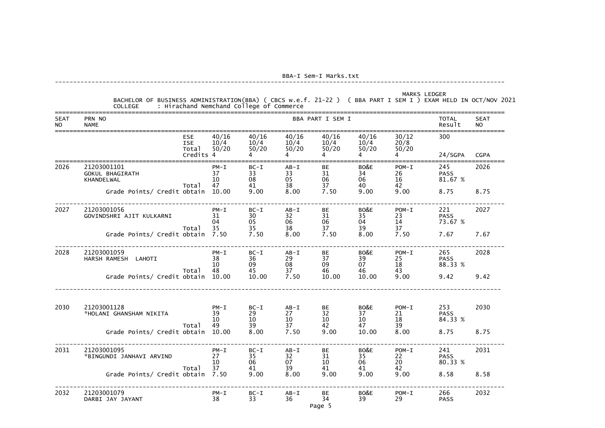| <b>SEAT</b><br><b>NO</b> | COLLEGE : Hirachand Nemchand College of Commerce<br>PRN NO<br><b>NAME</b> |                                                |                            |                                  |                                  | BBA PART I SEM I                                                |                             |                                     | <b>TOTAL</b><br>Result        | <b>SEAT</b><br><b>NO</b> |
|--------------------------|---------------------------------------------------------------------------|------------------------------------------------|----------------------------|----------------------------------|----------------------------------|-----------------------------------------------------------------|-----------------------------|-------------------------------------|-------------------------------|--------------------------|
|                          |                                                                           | <b>ESE</b><br><b>ISE</b><br>Total<br>Credits 4 | 40/16<br>10/4<br>50/20     | 40/16<br>50/20<br>$\overline{4}$ | 40/16<br>50/20<br>$\overline{4}$ | 40/16<br>$10/4$ $10/4$ $10/4$ $10/4$<br>$\frac{1}{50}$ /20<br>4 | 40/16<br>50/20<br>$4 \quad$ | 30/12<br>20/8<br>50/20<br>$4 \quad$ | 300<br>24/SGPA                | <b>CGPA</b>              |
| 2026                     | 21203001101<br><b>GOKUL BHAGIRATH</b><br>KHANDELWAL                       | Total                                          | $PM - I$<br>37<br>10<br>47 | $BC-I$<br>33<br>08<br>41         | $AB - I$<br>33<br>05<br>38       | <b>BE</b><br>31<br>06<br>37                                     | BO&E<br>34<br>06<br>40      | $POM-I$<br>26<br>16<br>42           | 245<br><b>PASS</b><br>81.67 % | 2026                     |
|                          | Grade Points/ Credit obtain 10.00                                         |                                                |                            | 9.00                             | 8.00                             | 7.50                                                            | 9.00                        | 9.00                                | 8.75                          | 8.75                     |
| 2027                     | 21203001056<br>GOVINDSHRI AJIT KULKARNI                                   |                                                | $PM - I$<br>31<br>04       | $BC-I$<br>30<br>05               | $AB - I$<br>32<br>06             | <b>BE</b><br>31<br>06                                           | BO&E<br>35<br>04            | $POM-I$<br>23<br>14                 | 221<br><b>PASS</b><br>73.67 % | 2027                     |
|                          | Grade Points/ Credit obtain 7.50                                          | Total                                          | 35                         | 35<br>35<br>7.50                 | 38<br>8.00                       | 37<br>7.50                                                      | 39<br>8.00                  | 37<br>7.50                          | 7.67                          | 7.67                     |
| 2028                     | 21203001059<br>HARSH RAMESH LAHOTI                                        |                                                | $PM - I$<br>38<br>10       | $BC-I$<br>36<br>09               | $AB - I$<br>29<br>08             | <b>BE</b><br>37<br>09                                           | BO&E<br>39<br>07            | $POM-I$<br>25<br>18                 | 265<br><b>PASS</b><br>88.33 % | 2028                     |
|                          | Grade Points/ Credit obtain 10.00                                         | Total                                          | 48                         | 45<br>10.00                      | $\frac{37}{7.50}$                | 46<br>10.00                                                     | 46<br>10.00                 | 43<br>9.00                          | 9.42                          | 9.42                     |
| 2030                     | 21203001128<br>*HOLANI GHANSHAM NIKITA                                    |                                                | $PM - I$<br>39<br>10       | $BC-I$<br>29<br>10               | $AB-I$<br>27<br>10               | <b>BE</b><br>32<br>10                                           | BO&E<br>37<br>$10\,$        | $POM-I$<br>21<br>18                 | 253<br><b>PASS</b><br>84.33 % | 2030                     |
|                          | Grade Points/ Credit obtain 10.00                                         | Total                                          | 49                         | 39<br>8.00                       | 37<br>7.50                       | 42<br>9.00                                                      | 47<br>10.00                 | 39<br>8.00                          | 8.75                          | 8.75                     |
| 2031                     | 21203001095<br>*BINGUNDI JANHAVI ARVIND                                   |                                                | $PM - I$<br>27<br>10       | $BC-I$<br>35<br>06               | $AB - I$<br>32<br>07             | BE<br>31<br>10                                                  | BO&E<br>35<br>06            | $POM-I$<br>22<br>20                 | 241<br><b>PASS</b><br>80.33 % | 2031                     |
|                          | Grade Points/ Credit obtain 7.50                                          | Total                                          | 37                         | 41<br>9.00                       | 39<br>8.00                       | 41<br>9.00                                                      | 41<br>9.00                  | 42<br>9.00                          | 8.58                          | 8.58                     |
| 2032                     | 21203001079<br>DARBI JAY JAYANT                                           |                                                | $PM - I$<br>38             | $BC-I$<br>33                     | $AB - I$<br>36                   | BE<br>34<br>Page 5                                              | BO&E<br>39                  | $POM-I$<br>29                       | 266<br><b>PASS</b>            | 2032                     |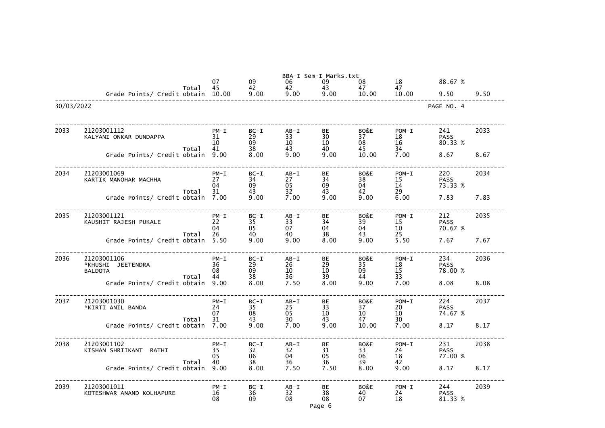|            |                                                              |       |                            |                          |                            | BBA-I Sem-I Marks.txt    |                               |                           |                               |      |
|------------|--------------------------------------------------------------|-------|----------------------------|--------------------------|----------------------------|--------------------------|-------------------------------|---------------------------|-------------------------------|------|
|            |                                                              | Total | 07<br>45                   | 09<br>42                 | 06<br>42                   | 09<br>43                 | 08<br>47                      | 18<br>47                  | 88.67 %                       |      |
|            | Grade Points/ Credit obtain                                  |       | 10.00                      | 9.00                     | 9.00                       | 9.00                     | 10.00                         | 10.00                     | 9.50                          | 9.50 |
| 30/03/2022 |                                                              |       |                            |                          |                            |                          |                               |                           | PAGE NO. 4                    |      |
| 2033       | 21203001112<br>KALYANI ONKAR DUNDAPPA                        |       | $PM - I$<br>31<br>10       | $BC-I$<br>29<br>09       | $AB - I$<br>33<br>10       | BE<br>30<br>10           | BO&E<br>37<br>08              | $POM-I$<br>18<br>16       | 241<br><b>PASS</b><br>80.33 % | 2033 |
|            | Grade Points/ Credit obtain                                  | Total | 41<br>9.00                 | 38<br>8.00               | 43<br>9.00                 | 40<br>9.00               | 45<br>10.00                   | 34<br>7.00                | 8.67                          | 8.67 |
| 2034       | 21203001069<br>KARTIK MANOHAR MACHHA                         | Total | $PM - I$<br>27<br>04<br>31 | $BC-I$<br>34<br>09<br>43 | $AB - I$<br>27<br>05<br>32 | BE<br>34<br>09<br>43     | BO&E<br>38<br>04<br>42        | $POM-I$<br>15<br>14<br>29 | 220<br><b>PASS</b><br>73.33 % | 2034 |
|            | Grade Points/ Credit obtain                                  |       | 7.00                       | 9.00                     | 7.00                       | 9.00                     | 9.00                          | 6.00                      | 7.83                          | 7.83 |
| 2035       | 21203001121<br>KAUSHIT RAJESH PUKALE                         | Total | $PM - I$<br>22<br>04<br>26 | $BC-I$<br>35<br>05<br>40 | $AB - I$<br>33<br>07<br>40 | BЕ<br>34<br>04<br>38     | BO&E<br>39<br>04<br>43        | $POM-T$<br>15<br>10<br>25 | 212<br><b>PASS</b><br>70.67 % | 2035 |
|            | Grade Points/ Credit obtain                                  |       | 5.50                       | 9.00                     | 9.00                       | 8.00                     | 9.00                          | 5.50                      | 7.67                          | 7.67 |
| 2036       | 21203001106<br>*KHUSHI<br><b>JEETENDRA</b><br><b>BALDOTA</b> | Total | $PM - I$<br>36<br>08<br>44 | $BC-I$<br>29<br>09<br>38 | $AB - I$<br>26<br>10<br>36 | BE<br>29<br>10<br>39     | BO&E<br>35<br>09<br>44        | $POM-T$<br>18<br>15<br>33 | 234<br><b>PASS</b><br>78.00 % | 2036 |
|            | Grade Points/ Credit obtain                                  |       | 9.00                       | 8.00                     | 7.50                       | 8.00                     | 9.00                          | 7.00                      | 8.08                          | 8.08 |
| 2037       | 21203001030<br>*KIRTI ANIL BANDA                             |       | $PM - I$<br>24<br>07       | $BC-I$<br>35<br>08       | $AB - I$<br>25<br>05       | <b>BE</b><br>33<br>10    | BO&E<br>37<br>10 <sup>°</sup> | $POM-I$<br>20<br>10       | 224<br><b>PASS</b><br>74.67 % | 2037 |
|            | Grade Points/ Credit obtain 7.00                             | Total | 31                         | 43<br>9.00               | 30<br>7.00                 | 43<br>9.00               | 47<br>10.00                   | 30<br>7.00                | 8.17                          | 8.17 |
| 2038       | 21203001102<br>KISHAN SHRIIKANT RATHI                        |       | $PM - I$<br>35<br>05<br>40 | $BC-I$<br>32<br>06<br>38 | $AB - I$<br>32<br>04<br>36 | BE<br>31<br>05<br>36     | BO&E<br>33<br>06<br>39        | $POM-I$<br>24<br>18<br>42 | 231<br><b>PASS</b><br>77.00 % | 2038 |
|            | Grade Points/ Credit obtain                                  | Total | 9.00                       | 8.00                     | 7.50                       | 7.50                     | 8.00                          | 9.00                      | 8.17                          | 8.17 |
| 2039       | 21203001011<br>KOTESHWAR ANAND KOLHAPURE                     |       | $PM - I$<br>16<br>08       | $BC-I$<br>36<br>09       | $AB - I$<br>32<br>08       | BE<br>38<br>08<br>Page 6 | BO&E<br>40<br>07              | $POM-I$<br>24<br>18       | 244<br><b>PASS</b><br>81.33 % | 2039 |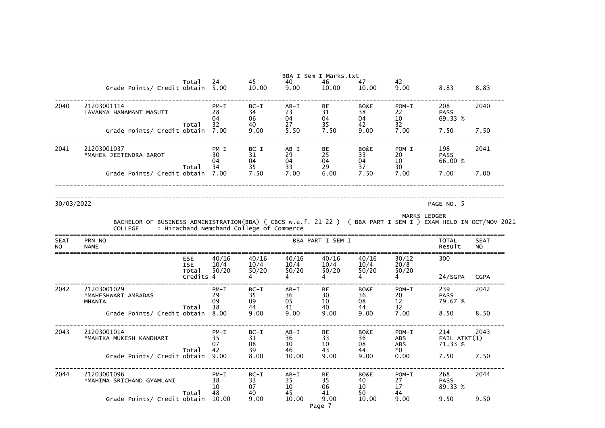|                          |                                                                                                                                 |                                   |                            |                                          |                              | BBA-I Sem-I Marks.txt             |                                      |                                  |                                    |                          |
|--------------------------|---------------------------------------------------------------------------------------------------------------------------------|-----------------------------------|----------------------------|------------------------------------------|------------------------------|-----------------------------------|--------------------------------------|----------------------------------|------------------------------------|--------------------------|
|                          | Grade Points/ Credit obtain                                                                                                     | Total                             | 24<br>5.00                 | 45<br>10.00                              | 40<br>9.00                   | 46<br>10.00                       | 47<br>10.00                          | 42<br>9.00                       | 8.83                               | 8.83                     |
| 2040                     | 21203001114<br>LAVANYA HANAMANT MASUTI                                                                                          |                                   | $PM - I$<br>28<br>04<br>32 | $BC-I$<br>34<br>06<br>40                 | $AB - I$<br>23<br>04<br>27   | <b>BE</b><br>31<br>04<br>35       | BO&E<br>38<br>04<br>42               | $POM-I$<br>22<br>$\frac{10}{32}$ | 208<br><b>PASS</b><br>69.33 %      | 2040                     |
|                          | Grade Points/ Credit obtain                                                                                                     | Total                             | 7.00                       | 9.00                                     | 5.50                         | 7.50                              | 9.00                                 | 7.00                             | 7.50                               | 7.50                     |
| 2041                     | 21203001037<br>*MAHEK JEETENDRA BAROT                                                                                           | Total                             | $PM - I$<br>30<br>04<br>34 | $BC-I$<br>31<br>04<br>35                 | $AB - I$<br>29<br>04<br>33   | <b>BE</b><br>25<br>04<br>29       | BO&E<br>33<br>04<br>37               | $POM-I$<br>20<br>10<br>30        | 198<br><b>PASS</b><br>66.00 %      | 2041                     |
|                          | Grade Points/ Credit obtain                                                                                                     |                                   | 7.00                       | 7.50                                     | 7.00                         | 6.00                              | 7.50                                 | 7.00                             | 7.00                               | 7.00                     |
| 30/03/2022               |                                                                                                                                 |                                   |                            |                                          |                              |                                   |                                      |                                  | PAGE NO. 5                         |                          |
|                          |                                                                                                                                 |                                   |                            |                                          |                              |                                   |                                      |                                  |                                    |                          |
|                          | BACHELOR OF BUSINESS ADMINISTRATION(BBA) ( CBCS w.e.f. 21-22 ) ( BBA PART I SEM I ) EXAM HELD IN OCT/NOV 2021<br><b>COLLEGE</b> |                                   |                            | : Hirachand Nemchand College of Commerce |                              |                                   |                                      |                                  | <b>MARKS LEDGER</b>                |                          |
| <b>SEAT</b><br><b>NO</b> | PRN NO<br><b>NAME</b>                                                                                                           |                                   |                            |                                          |                              | BBA PART I SEM I                  |                                      |                                  | <b>TOTAL</b><br>Result             | <b>SEAT</b><br><b>NO</b> |
|                          |                                                                                                                                 | <b>ESE</b><br><b>ISE</b><br>Total | 40/16<br>10/4<br>50/20     | 40/16<br>10/4<br>50/20                   | 40/16<br>10/4<br>50/20       | 40/16<br>10/4<br>50/20            | 40/16<br>10/4<br>50/20               | 30/12<br>20/8<br>50/20           | 300                                |                          |
|                          |                                                                                                                                 | Credits                           |                            |                                          |                              |                                   |                                      |                                  | 24/SGPA                            | <b>CGPA</b>              |
| 2042                     | 21203001029<br>*MAHESHWARI AMBADAS<br><b>MHANTA</b>                                                                             | Total                             | $PM - I$<br>29<br>09<br>38 | $BC-I$<br>35<br>09<br>44                 | $AB - I$<br>36<br>05<br>41   | BE<br>30<br>10 <sup>1</sup><br>40 | BO&E<br>36<br>08<br>44               | $POM-I$<br>20<br>12<br>32        | 239<br><b>PASS</b><br>79.67 %      | 2042                     |
|                          | Grade Points/ Credit obtain 8.00                                                                                                |                                   |                            | 9.00                                     | 9.00                         | 9.00                              | 9.00                                 | 7.00                             | 8.50                               | 8.50                     |
| 2043                     | 21203001014<br>*MAHIKA MUKESH KANDHARI                                                                                          | Total                             | $PM - I$<br>35<br>07<br>42 | $BC-I$<br>31<br>08<br>39                 | $AB - I$<br>36<br>10<br>46 — | BE<br>$\frac{33}{10}$<br>43       | BO&E<br>36<br>08 08<br>44 and $\sim$ | $POM-I$<br>ABS<br>ABS<br>$*0$    | 214<br>$FAIL$ $ATKT(1)$<br>71.33 % | 2043                     |
|                          | Grade Points/ Credit obtain 9.00                                                                                                |                                   |                            | 8.00                                     | 10.00                        | 9.00                              | 9.00                                 | 0.00                             | 7.50                               | 7.50                     |
| 2044                     | 21203001096<br>*MAHIMA SRICHAND GYAMLANI                                                                                        | Total                             | $PM - I$<br>38<br>10<br>48 | $BC-I$<br>33<br>07<br>40                 | $AB-I$<br>35<br>10<br>45     | BE<br>$\frac{35}{06}$<br>41       | BO&E<br>40<br>10<br>50 000           | $POM-I$<br>27<br>17<br>44        | 268<br><b>PASS</b><br>89.33 %      | 2044                     |
|                          | Grade Points/ Credit obtain 10.00                                                                                               |                                   |                            | 9.00                                     | 10.00                        | 9.00<br>Page 7                    | 10.00                                | 9.00                             | 9.50                               | 9.50                     |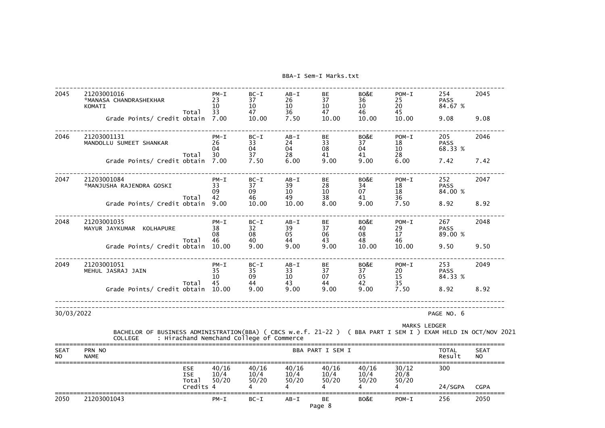| 2045                     | 21203001016<br>*MANASA CHANDRASHEKHAR<br>KOMATI                                                                                 |                          | $PM - I$<br>23<br>10       | $BC-I$<br>37<br>10                       | $AB - I$<br>26<br>10       | <b>BE</b><br>37<br>10 | BO&E<br>36<br>10       | $POM-I$<br>25<br>20       | 254<br><b>PASS</b><br>84.67 % | 2045                     |
|--------------------------|---------------------------------------------------------------------------------------------------------------------------------|--------------------------|----------------------------|------------------------------------------|----------------------------|-----------------------|------------------------|---------------------------|-------------------------------|--------------------------|
|                          | Grade Points/ Credit obtain                                                                                                     | Total                    | 33<br>7.00                 | 47<br>10.00                              | 36<br>7.50                 | 47<br>10.00           | 46<br>10.00            | 45<br>10.00               | 9.08                          | 9.08                     |
| 2046                     | 21203001131<br>MANDOLLU SUMEET SHANKAR                                                                                          |                          | $PM - I$<br>26<br>04       | $BC-I$<br>33<br>04                       | $AB - I$<br>24<br>04       | BE<br>33<br>08        | BO&E<br>37<br>04       | $POM-I$<br>18<br>10       | 205<br><b>PASS</b><br>68.33 % | 2046                     |
|                          | Grade Points/ Credit obtain                                                                                                     | Total                    | 30<br>7.00                 | 37<br>7.50                               | 28<br>6.00                 | 41<br>9.00            | 41<br>9.00             | 28<br>6.00                | 7.42                          | 7.42                     |
| 2047                     | 21203001084<br>*MANJUSHA RAJENDRA GOSKI                                                                                         | Total                    | $PM - I$<br>33<br>09<br>42 | $BC-I$<br>37<br>09<br>46                 | $AB - I$<br>39<br>10<br>49 | BE<br>28<br>10<br>38  | BO&E<br>34<br>07<br>41 | $POM-I$<br>18<br>18<br>36 | 252<br><b>PASS</b><br>84.00 % | 2047                     |
|                          | Grade Points/ Credit obtain                                                                                                     |                          | 9.00                       | 10.00                                    | 10.00                      | 8,00                  | 9.00                   | 7.50                      | 8.92                          | 8.92                     |
| 2048                     | 21203001035<br>MAYUR JAYKUMAR KOLHAPURE                                                                                         |                          | $PM - I$<br>38<br>08<br>46 | $BC-I$<br>32<br>08<br>40                 | $AB - I$<br>39<br>05       | BE<br>37<br>06<br>43  | BO&E<br>40<br>08<br>48 | $POM-I$<br>29<br>17       | 267<br><b>PASS</b><br>89.00 % | 2048                     |
|                          | Grade Points/ Credit obtain                                                                                                     | Total                    | 10.00                      | 9.00                                     | 44<br>9.00                 | 9.00                  | 10.00                  | 46<br>10.00               | 9.50                          | 9.50                     |
| 2049                     | 21203001051<br>MEHUL JASRAJ JAIN                                                                                                |                          | $PM - I$<br>35<br>10       | $BC-I$<br>35<br>09                       | $AB - I$<br>33<br>10       | BE<br>37<br>07        | BO&E<br>37<br>05       | $POM-I$<br>20<br>15       | 253<br><b>PASS</b><br>84.33 % | 2049                     |
|                          | Grade Points/ Credit obtain                                                                                                     | Total                    | 45<br>10.00                | 9.00                                     | 43<br>9.00                 | 44<br>9.00            | 42<br>9.00             | 35<br>7.50                | 8.92                          | 8.92                     |
| 30/03/2022               |                                                                                                                                 |                          |                            |                                          |                            |                       |                        |                           | PAGE NO. 6                    |                          |
|                          | BACHELOR OF BUSINESS ADMINISTRATION(BBA) ( CBCS w.e.f. 21-22 ) ( BBA PART I SEM I ) EXAM HELD IN OCT/NOV 2021<br><b>COLLEGE</b> |                          |                            | : Hirachand Nemchand College of Commerce |                            |                       |                        | <b>MARKS LEDGER</b>       |                               |                          |
| <b>SEAT</b><br><b>NO</b> | PRN NO<br><b>NAME</b>                                                                                                           |                          |                            |                                          |                            | BBA PART I SEM I      |                        |                           | <b>TOTAL</b><br>Result        | <b>SEAT</b><br><b>NO</b> |
|                          |                                                                                                                                 | <b>ESE</b><br><b>ISE</b> | 40/16<br>10/4              | 40/16<br>10/4                            | 40/16<br>10/4              | 40/16<br>10/4         | 40/16<br>10/4          | 30/12<br>20/8             | 300                           |                          |
|                          |                                                                                                                                 | Total<br>Credits 4       | 50/20                      | 50/20                                    | 50/20                      | 50/20                 | 50/20                  | 50/20<br>4                | 24/SGPA                       | <b>CGPA</b>              |
| 2050                     | 21203001043                                                                                                                     |                          | $PM - I$                   | $BC-I$                                   | $AB - I$                   | BE<br>Page 8          | BO&E                   | $POM-I$                   | 256                           | 2050                     |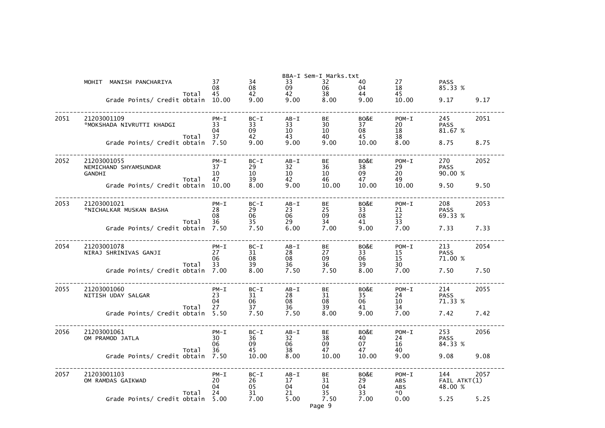|      |                                                       |       |                            |                          |                                         | BBA-I Sem-I Marks.txt             |                        |                                      |                                |      |
|------|-------------------------------------------------------|-------|----------------------------|--------------------------|-----------------------------------------|-----------------------------------|------------------------|--------------------------------------|--------------------------------|------|
|      | MOHIT MANISH PANCHARIYA                               | Total | 37<br>08<br>45             | 34<br>08<br>42           | 33<br>09<br>42                          | 32<br>06<br>38                    | 40<br>04<br>44         | 27<br>18<br>45                       | <b>PASS</b><br>85.33 %         |      |
|      | Grade Points/ Credit obtain 10.00                     |       |                            | 9.00                     | 9.00                                    | 8.00                              | 9.00                   | 10.00                                | 9.17                           | 9.17 |
| 2051 | 21203001109<br>*MOKSHADA NIVRUTTI KHADGI              | Total | $PM - I$<br>33<br>04<br>37 | $BC-I$<br>33<br>09<br>42 | $AB - I$<br>33<br>10 <sup>°</sup><br>43 | BE<br>30<br>10 <sup>°</sup><br>40 | BO&E<br>37<br>08<br>45 | $POM-I$<br>20<br>18<br>38            | 245<br><b>PASS</b><br>81.67 %  | 2051 |
|      | Grade Points/ Credit obtain 7.50                      |       |                            | 9.00                     | 9.00                                    | 9.00                              | 10.00                  | 8.00                                 | 8.75                           | 8.75 |
| 2052 | 21203001055<br>NEMICHAND SHYAMSUNDAR<br><b>GANDHI</b> | Total | $PM - I$<br>37<br>10<br>47 | $BC-I$<br>29<br>10<br>39 | $AB - I$<br>32<br>10 <sup>°</sup><br>42 | BE<br>36<br>10<br>46              | BO&E<br>38<br>09<br>47 | $POM-I$<br>29<br>20<br>49            | 270<br><b>PASS</b><br>90.00 %  | 2052 |
|      | Grade Points/ Credit obtain                           |       | 10.00                      | 8.00                     | 9.00                                    | 10.00                             | 10.00                  | 10.00                                | 9.50                           | 9.50 |
| 2053 | 21203001021<br>*NICHALKAR MUSKAN BASHA                | Total | $PM - I$<br>28<br>08<br>36 | $BC-I$<br>29<br>06       | $AB - I$<br>23<br>06<br>29              | BE<br>25<br>09<br>34              | BO&E<br>33<br>08<br>41 | $POM-I$<br>21<br>12<br>33            | 208<br><b>PASS</b><br>69.33 %  | 2053 |
|      | Grade Points/ Credit obtain 7.50                      |       |                            | $\frac{35}{7.50}$        | 6.00                                    | 7.00                              | 9.00                   | 7.00                                 | 7.33                           | 7.33 |
| 2054 | 21203001078<br>NIRAJ SHRINIVAS GANJI                  |       | $PM - I$<br>27<br>06       | $BC-I$<br>31<br>08       | $AB - I$<br>28<br>08                    | BE<br>27<br>09<br>36              | BO&E<br>33<br>06       | $POM-I$<br>15<br>15                  | 213<br><b>PASS</b><br>71.00 %  | 2054 |
|      | Grade Points/ Credit obtain 7.00                      | Total | 33                         | 39<br>8.00               | 36<br>7.50                              | 7.50                              | 39<br>8.00             | 30<br>7.00                           | 7.50                           | 7.50 |
| 2055 | 21203001060<br>NITISH UDAY SALGAR                     |       | $PM - I$<br>23<br>04       | $BC-I$<br>31<br>06       | $AB - I$<br>28<br>08                    | BE<br>31<br>08                    | BO&E<br>35<br>06       | $POM-I$<br>24<br>10 <sub>1</sub>     | 214<br><b>PASS</b><br>71.33 %  | 2055 |
|      | Grade Points/ Credit obtain                           | Total | 27<br>5.50                 | 37<br>7.50               | 36<br>7.50                              | 39<br>8.00                        | 41<br>9.00             | 34<br>7.00                           | 7.42                           | 7.42 |
| 2056 | 21203001061<br>OM PRAMOD JATLA                        | Total | $PM - I$<br>30<br>06<br>36 | $BC-I$<br>36<br>09<br>45 | $AB - I$<br>32<br>06<br>38              | BE<br>38<br>09<br>47              | BO&E<br>40<br>07<br>47 | $POM-I$<br>24<br>16<br>40            | 253<br><b>PASS</b><br>84.33 %  | 2056 |
|      | Grade Points/ Credit obtain                           |       | 7.50                       | 10.00                    | 8.00                                    | 10.00                             | 10.00                  | 9.00                                 | 9.08                           | 9.08 |
| 2057 | 21203001103<br>OM RAMDAS GAIKWAD                      | Total | $PM - I$<br>20<br>04<br>24 | $BC-I$<br>26<br>05<br>31 | $AB - I$<br>17<br>04<br>21              | BE<br>31<br>04<br>35              | BO&E<br>29<br>04<br>33 | $POM-I$<br>ABS<br><b>ABS</b><br>$*0$ | 144<br>FAIL ATKT(1)<br>48.00 % | 2057 |
|      | Grade Points/ Credit obtain                           |       | 5.00                       | 7.00                     | 5.00                                    | 7.50<br>Page 9                    | 7.00                   | 0.00                                 | 5.25                           | 5.25 |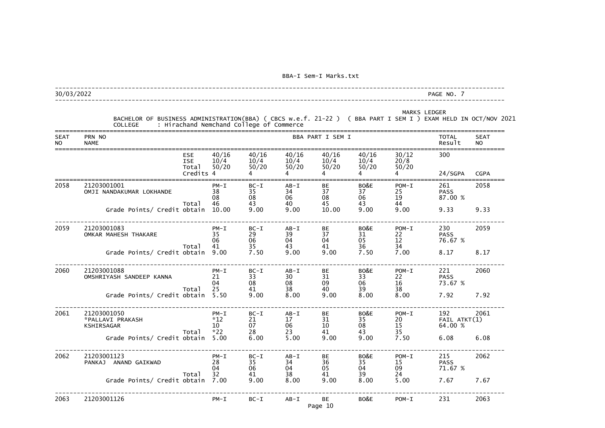### --------------------------------------------------------------------------------------------------------------------------- 30/03/2022 PAGE NO. 7

|                          | BACHELOR OF BUSINESS ADMINISTRATION(BBA) ( CBCS w.e.f. 21-22 ) ( BBA PART I SEM I ) EXAM HELD IN OCT/NOV 2021<br><b>COLLEGE</b> |                                                |                                               | : Hirachand Nemchand College of Commerce |                            |                                               |                                                 |                                 | <b>MARKS LEDGER</b>            |                          |
|--------------------------|---------------------------------------------------------------------------------------------------------------------------------|------------------------------------------------|-----------------------------------------------|------------------------------------------|----------------------------|-----------------------------------------------|-------------------------------------------------|---------------------------------|--------------------------------|--------------------------|
| <b>SEAT</b><br><b>NO</b> | PRN NO<br><b>NAME</b>                                                                                                           |                                                |                                               |                                          |                            | BBA PART I SEM I                              |                                                 |                                 | <b>TOTAL</b><br>Result         | <b>SEAT</b><br><b>NO</b> |
|                          |                                                                                                                                 | <b>ESE</b><br><b>ISE</b><br>Total<br>Credits 4 | 40/16<br>10/4<br>50/20                        | 40/16<br>10/4<br>50/20                   | 40/16<br>10/4<br>50/20     | 40/16<br>10/4<br>50/20                        | 40/16<br>10/4<br>50/20                          | 30/12<br>20/8<br>50/20          | 300<br>24/SGPA                 | <b>CGPA</b>              |
| 2058                     | 21203001001<br>OMJI NANDAKUMAR LOKHANDE                                                                                         | Total                                          | $PM - I$<br>38<br>08<br>46                    | $BC-I$<br>35<br>08<br>43                 | $AB - I$<br>34<br>06<br>40 | BE<br>37<br>08<br>45                          | BO&E<br>37<br>06<br>43                          | $POM-I$<br>25<br>19<br>44       | 261<br><b>PASS</b><br>87.00 %  | 2058                     |
|                          | Grade Points/ Credit obtain                                                                                                     |                                                | 10.00                                         | 9.00                                     | 9.00                       | 10.00                                         | 9.00                                            | 9.00                            | 9.33                           | 9.33                     |
| 2059                     | 21203001083<br>OMKAR MAHESH THAKARE                                                                                             |                                                | $PM - I$<br>35<br>06<br>41                    | $BC-I$<br>29<br>06                       | $AB - I$<br>39<br>04       | BE<br>37<br>04                                | BO&E<br>31<br>$\frac{05}{36}$                   | $POM-I$<br>$22$<br>$12$<br>$34$ | 230<br><b>PASS</b><br>76.67 %  | 2059                     |
|                          | Grade Points/ Credit obtain                                                                                                     | Total                                          | 9.00                                          | 35 <sub>2</sub><br>7.50                  | 43<br>9.00                 | 41<br>9.00                                    | 7.50                                            | 7.00                            | 8.17                           | 8.17                     |
| 2060                     | 21203001088<br>OMSHRIYASH SANDEEP KANNA                                                                                         |                                                | $PM - I$<br>21<br>04                          | $BC-I$<br>33<br>08                       | $AB - I$<br>30<br>08       | BE<br>31<br>09                                | BO&E<br>33<br>06<br>39                          | $POM-I$<br>22<br>16             | 221<br><b>PASS</b><br>73.67 %  | 2060                     |
|                          | Grade Points/ Credit obtain                                                                                                     | Total                                          | 25<br>5.50                                    | 41<br>9.00                               | 38<br>8.00                 | 40<br>9.00                                    | 8.00                                            | 38<br>8.00                      | 7.92                           | 7.92                     |
| 2061                     | 21203001050<br>*PALLAVI PRAKASH<br>KSHIRSAGAR                                                                                   | Total                                          | $PM - I$<br>$*12$<br>10 <sup>°</sup><br>$*22$ | $BC-I$<br>21<br>07<br>28                 | $AB - I$<br>17<br>06<br>23 | BЕ<br>31<br>10<br>41                          | BO&E<br>35<br>08<br>43                          | $POM-I$<br>20<br>15<br>35       | 192<br>FAIL ATKT(1)<br>64.00 % | 2061                     |
|                          | Grade Points/ Credit obtain 5.00                                                                                                |                                                |                                               | 6.00                                     | 5.00                       | 9.00                                          | 9.00                                            | 7.50                            | 6.08                           | 6.08                     |
| 2062                     | 21203001123<br>PANKAJ ANAND GAIKWAD                                                                                             |                                                | $PM - I$<br>28<br>04                          | $BC-I$<br>$\frac{35}{06}$                | $AB - I$<br>34<br>04       | BE<br>$\begin{array}{c} 36 \\ 05 \end{array}$ | BO&E<br>$\begin{array}{c} 35 \\ 04 \end{array}$ | $POM-I$<br>15<br>09             | 215<br><b>PASS</b><br>71.67 %  | 2062                     |
|                          | Grade Points/ Credit obtain 7.00                                                                                                | Total                                          | 32                                            | 41<br>9.00                               | 38<br>8.00                 | 41<br>9.00                                    | 39<br>8.00                                      | 24<br>5.00                      | 7.67                           | 7.67                     |
| 2063                     | 21203001126                                                                                                                     |                                                | $PM - I$                                      | $BC-I$                                   | $AB - I$                   | BE<br>Page 10                                 | BO&E                                            | $POM-I$                         | 231                            | 2063                     |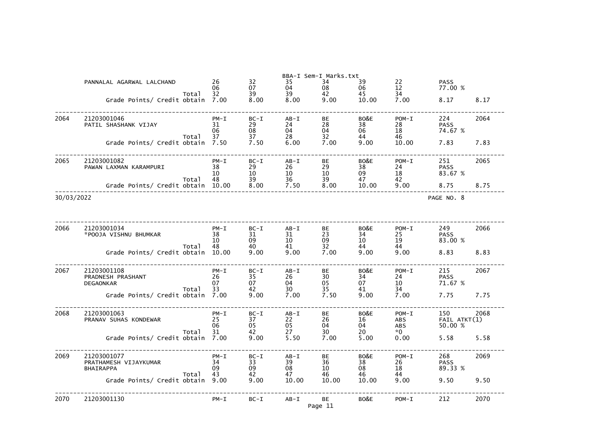|                           |                                                                                                                                                                                                                                                   |                                                                                                                                                                                                                                                                                                                        | BBA-I Sem-I Marks.txt                                                                                                                                |                                                                                                                                                                    |                                                                                                                                                                          |                                                                                                                                                        |                                                                                                                                                                         |                                                                                                                                                                                     |
|---------------------------|---------------------------------------------------------------------------------------------------------------------------------------------------------------------------------------------------------------------------------------------------|------------------------------------------------------------------------------------------------------------------------------------------------------------------------------------------------------------------------------------------------------------------------------------------------------------------------|------------------------------------------------------------------------------------------------------------------------------------------------------|--------------------------------------------------------------------------------------------------------------------------------------------------------------------|--------------------------------------------------------------------------------------------------------------------------------------------------------------------------|--------------------------------------------------------------------------------------------------------------------------------------------------------|-------------------------------------------------------------------------------------------------------------------------------------------------------------------------|-------------------------------------------------------------------------------------------------------------------------------------------------------------------------------------|
| PANNALAL AGARWAL LALCHAND | 26                                                                                                                                                                                                                                                | 32                                                                                                                                                                                                                                                                                                                     | 35                                                                                                                                                   | 34                                                                                                                                                                 | 39                                                                                                                                                                       | 22                                                                                                                                                     | <b>PASS</b>                                                                                                                                                             |                                                                                                                                                                                     |
|                           |                                                                                                                                                                                                                                                   |                                                                                                                                                                                                                                                                                                                        |                                                                                                                                                      |                                                                                                                                                                    |                                                                                                                                                                          |                                                                                                                                                        |                                                                                                                                                                         |                                                                                                                                                                                     |
|                           |                                                                                                                                                                                                                                                   |                                                                                                                                                                                                                                                                                                                        |                                                                                                                                                      |                                                                                                                                                                    |                                                                                                                                                                          |                                                                                                                                                        |                                                                                                                                                                         | 8.17                                                                                                                                                                                |
|                           |                                                                                                                                                                                                                                                   |                                                                                                                                                                                                                                                                                                                        |                                                                                                                                                      |                                                                                                                                                                    |                                                                                                                                                                          |                                                                                                                                                        |                                                                                                                                                                         |                                                                                                                                                                                     |
| 21203001046               | $PM - I$                                                                                                                                                                                                                                          | $BC-I$                                                                                                                                                                                                                                                                                                                 | $AB - I$                                                                                                                                             | <b>BE</b>                                                                                                                                                          | BO&E                                                                                                                                                                     | $POM-I$                                                                                                                                                | 224                                                                                                                                                                     | 2064                                                                                                                                                                                |
| PATIL SHASHANK VIJAY      | 31                                                                                                                                                                                                                                                | 29                                                                                                                                                                                                                                                                                                                     | 24                                                                                                                                                   |                                                                                                                                                                    |                                                                                                                                                                          | 28                                                                                                                                                     | <b>PASS</b>                                                                                                                                                             |                                                                                                                                                                                     |
|                           |                                                                                                                                                                                                                                                   |                                                                                                                                                                                                                                                                                                                        |                                                                                                                                                      |                                                                                                                                                                    |                                                                                                                                                                          |                                                                                                                                                        |                                                                                                                                                                         |                                                                                                                                                                                     |
|                           | 7.50                                                                                                                                                                                                                                              | 7.50                                                                                                                                                                                                                                                                                                                   | 6.00                                                                                                                                                 | 7.00                                                                                                                                                               | 9.00                                                                                                                                                                     | 10.00                                                                                                                                                  | 7.83                                                                                                                                                                    | 7.83                                                                                                                                                                                |
|                           |                                                                                                                                                                                                                                                   |                                                                                                                                                                                                                                                                                                                        |                                                                                                                                                      |                                                                                                                                                                    |                                                                                                                                                                          |                                                                                                                                                        |                                                                                                                                                                         |                                                                                                                                                                                     |
| 21203001082               | $PM - I$                                                                                                                                                                                                                                          | $BC-I$                                                                                                                                                                                                                                                                                                                 | $AB - I$                                                                                                                                             | BE                                                                                                                                                                 | BO&E                                                                                                                                                                     | $POM-I$                                                                                                                                                | 251                                                                                                                                                                     | 2065                                                                                                                                                                                |
| PAWAN LAXMAN KARAMPURI    |                                                                                                                                                                                                                                                   |                                                                                                                                                                                                                                                                                                                        |                                                                                                                                                      |                                                                                                                                                                    |                                                                                                                                                                          |                                                                                                                                                        |                                                                                                                                                                         |                                                                                                                                                                                     |
|                           |                                                                                                                                                                                                                                                   |                                                                                                                                                                                                                                                                                                                        |                                                                                                                                                      |                                                                                                                                                                    |                                                                                                                                                                          |                                                                                                                                                        |                                                                                                                                                                         |                                                                                                                                                                                     |
|                           | 10.00                                                                                                                                                                                                                                             | 8.00                                                                                                                                                                                                                                                                                                                   | 7.50                                                                                                                                                 | 8.00                                                                                                                                                               | 10.00                                                                                                                                                                    | 9.00                                                                                                                                                   | 8.75                                                                                                                                                                    | 8.75                                                                                                                                                                                |
|                           |                                                                                                                                                                                                                                                   |                                                                                                                                                                                                                                                                                                                        |                                                                                                                                                      |                                                                                                                                                                    |                                                                                                                                                                          |                                                                                                                                                        |                                                                                                                                                                         |                                                                                                                                                                                     |
|                           |                                                                                                                                                                                                                                                   |                                                                                                                                                                                                                                                                                                                        |                                                                                                                                                      |                                                                                                                                                                    |                                                                                                                                                                          |                                                                                                                                                        |                                                                                                                                                                         |                                                                                                                                                                                     |
|                           |                                                                                                                                                                                                                                                   |                                                                                                                                                                                                                                                                                                                        |                                                                                                                                                      |                                                                                                                                                                    |                                                                                                                                                                          |                                                                                                                                                        |                                                                                                                                                                         |                                                                                                                                                                                     |
|                           |                                                                                                                                                                                                                                                   |                                                                                                                                                                                                                                                                                                                        |                                                                                                                                                      |                                                                                                                                                                    |                                                                                                                                                                          |                                                                                                                                                        |                                                                                                                                                                         | 2066                                                                                                                                                                                |
| *POOJA VISHNU BHUMKAR     | 38                                                                                                                                                                                                                                                | 31                                                                                                                                                                                                                                                                                                                     | 31                                                                                                                                                   | 23                                                                                                                                                                 | 34                                                                                                                                                                       | 25                                                                                                                                                     | <b>PASS</b>                                                                                                                                                             |                                                                                                                                                                                     |
|                           |                                                                                                                                                                                                                                                   |                                                                                                                                                                                                                                                                                                                        |                                                                                                                                                      |                                                                                                                                                                    |                                                                                                                                                                          |                                                                                                                                                        |                                                                                                                                                                         |                                                                                                                                                                                     |
|                           |                                                                                                                                                                                                                                                   |                                                                                                                                                                                                                                                                                                                        |                                                                                                                                                      |                                                                                                                                                                    |                                                                                                                                                                          |                                                                                                                                                        |                                                                                                                                                                         | 8.83                                                                                                                                                                                |
|                           |                                                                                                                                                                                                                                                   |                                                                                                                                                                                                                                                                                                                        |                                                                                                                                                      |                                                                                                                                                                    |                                                                                                                                                                          |                                                                                                                                                        |                                                                                                                                                                         |                                                                                                                                                                                     |
| 21203001108               | $PM - I$                                                                                                                                                                                                                                          | $BC-I$                                                                                                                                                                                                                                                                                                                 | $AB - I$                                                                                                                                             | <b>BE</b>                                                                                                                                                          | BO&E                                                                                                                                                                     | $POM-I$                                                                                                                                                | 215                                                                                                                                                                     | 2067                                                                                                                                                                                |
| PRADNESH PRASHANT         | 26                                                                                                                                                                                                                                                | 35                                                                                                                                                                                                                                                                                                                     | 26                                                                                                                                                   | 30                                                                                                                                                                 | 34                                                                                                                                                                       | 24                                                                                                                                                     | <b>PASS</b>                                                                                                                                                             |                                                                                                                                                                                     |
|                           |                                                                                                                                                                                                                                                   |                                                                                                                                                                                                                                                                                                                        |                                                                                                                                                      |                                                                                                                                                                    |                                                                                                                                                                          |                                                                                                                                                        |                                                                                                                                                                         |                                                                                                                                                                                     |
|                           |                                                                                                                                                                                                                                                   |                                                                                                                                                                                                                                                                                                                        |                                                                                                                                                      |                                                                                                                                                                    |                                                                                                                                                                          |                                                                                                                                                        |                                                                                                                                                                         | 7.75                                                                                                                                                                                |
|                           |                                                                                                                                                                                                                                                   |                                                                                                                                                                                                                                                                                                                        |                                                                                                                                                      |                                                                                                                                                                    |                                                                                                                                                                          |                                                                                                                                                        |                                                                                                                                                                         |                                                                                                                                                                                     |
| 21203001063               | $PM - I$                                                                                                                                                                                                                                          | $BC-I$                                                                                                                                                                                                                                                                                                                 | $AB - I$                                                                                                                                             | BE                                                                                                                                                                 | BO&E                                                                                                                                                                     | $POM-I$                                                                                                                                                | 150                                                                                                                                                                     | 2068                                                                                                                                                                                |
|                           |                                                                                                                                                                                                                                                   |                                                                                                                                                                                                                                                                                                                        |                                                                                                                                                      |                                                                                                                                                                    |                                                                                                                                                                          |                                                                                                                                                        |                                                                                                                                                                         |                                                                                                                                                                                     |
|                           |                                                                                                                                                                                                                                                   |                                                                                                                                                                                                                                                                                                                        |                                                                                                                                                      |                                                                                                                                                                    |                                                                                                                                                                          |                                                                                                                                                        |                                                                                                                                                                         |                                                                                                                                                                                     |
|                           | 7.00                                                                                                                                                                                                                                              | 9.00                                                                                                                                                                                                                                                                                                                   | 5.50                                                                                                                                                 | 7.00                                                                                                                                                               | 5.00                                                                                                                                                                     | 0.00                                                                                                                                                   | 5.58                                                                                                                                                                    | 5.58                                                                                                                                                                                |
|                           |                                                                                                                                                                                                                                                   |                                                                                                                                                                                                                                                                                                                        |                                                                                                                                                      |                                                                                                                                                                    |                                                                                                                                                                          |                                                                                                                                                        |                                                                                                                                                                         |                                                                                                                                                                                     |
|                           |                                                                                                                                                                                                                                                   |                                                                                                                                                                                                                                                                                                                        |                                                                                                                                                      |                                                                                                                                                                    |                                                                                                                                                                          |                                                                                                                                                        |                                                                                                                                                                         | 2069                                                                                                                                                                                |
| <b>BHAIRAPPA</b>          | 09                                                                                                                                                                                                                                                | 09                                                                                                                                                                                                                                                                                                                     | 08                                                                                                                                                   | 10                                                                                                                                                                 | 08                                                                                                                                                                       | 18                                                                                                                                                     | 89.33 %                                                                                                                                                                 |                                                                                                                                                                                     |
| Total                     | 43                                                                                                                                                                                                                                                | 42                                                                                                                                                                                                                                                                                                                     | 47                                                                                                                                                   | 46                                                                                                                                                                 | 46                                                                                                                                                                       | 44                                                                                                                                                     |                                                                                                                                                                         |                                                                                                                                                                                     |
|                           |                                                                                                                                                                                                                                                   |                                                                                                                                                                                                                                                                                                                        |                                                                                                                                                      |                                                                                                                                                                    |                                                                                                                                                                          |                                                                                                                                                        |                                                                                                                                                                         | 9.50                                                                                                                                                                                |
|                           |                                                                                                                                                                                                                                                   |                                                                                                                                                                                                                                                                                                                        |                                                                                                                                                      |                                                                                                                                                                    |                                                                                                                                                                          |                                                                                                                                                        |                                                                                                                                                                         | 2070                                                                                                                                                                                |
|                           |                                                                                                                                                                                                                                                   |                                                                                                                                                                                                                                                                                                                        |                                                                                                                                                      |                                                                                                                                                                    |                                                                                                                                                                          |                                                                                                                                                        |                                                                                                                                                                         |                                                                                                                                                                                     |
|                           | Total<br>Total<br>Total<br>30/03/2022<br>21203001034<br>Total<br>Grade Points/ Credit obtain<br><b>DEGAONKAR</b><br>Total<br>Grade Points/ Credit obtain<br>PRANAV SUHAS KONDEWAR<br>Total<br>21203001077<br>PRATHAMESH VIJAYKUMAR<br>21203001130 | 06<br>32<br>Grade Points/ Credit obtain<br>7.00<br>06<br>37<br>Grade Points/ Credit obtain<br>38<br>10<br>48<br>Grade Points/ Credit obtain<br>$PM - I$<br>10<br>48<br>10.00<br>07<br>33<br>7.00<br>25<br>06<br>31<br>Grade Points/ Credit obtain<br>$PM - I$<br>34<br>Grade Points/ Credit obtain<br>9.00<br>$PM - I$ | 07<br>39<br>8.00<br>08<br>37<br>29<br>10<br>39<br>$BC-I$<br>09<br>40<br>9.00<br>07<br>42<br>9.00<br>37<br>05<br>42<br>$BC-I$<br>33<br>9.00<br>$BC-I$ | 04<br>39<br>8.00<br>04<br>28<br>26<br>10<br>36<br>$AB - I$<br>10<br>41<br>9.00<br>04<br>$\frac{30}{7.00}$<br>22<br>05<br>27<br>$AB - I$<br>39<br>10.00<br>$AB - I$ | 08<br>42<br>9.00<br>28<br>04<br>32<br>29<br>10<br>39<br><b>BE</b><br>09<br>32<br>7.00<br>05<br>35<br>7.50<br>26<br>04<br>30<br>BE<br>36<br>10.00<br><b>BE</b><br>Page 11 | 06<br>45<br>10.00<br>38<br>06<br>44<br>38<br>09<br>47<br>BO&E<br>10<br>44<br>9.00<br>07<br>41<br>9.00<br>16<br>04<br>20<br>BO&E<br>38<br>10.00<br>BO&E | 12<br>34<br>7.00<br>18<br>46<br>24<br>18<br>42<br>$POM-I$<br>19<br>44<br>9.00<br>10<br>$\frac{1}{34}$<br>7.00<br>ABS<br>ABS<br>$*0$<br>$POM-I$<br>26<br>9.00<br>$POM-I$ | 77.00 %<br>8.17<br>74.67 %<br><b>PASS</b><br>83.67 %<br>PAGE NO. 8<br>249<br>83.00 %<br>8.83<br>71.67 %<br>7.75<br>$FAIL$ $ATKT(1)$<br>50.00 %<br>268<br><b>PASS</b><br>9.50<br>212 |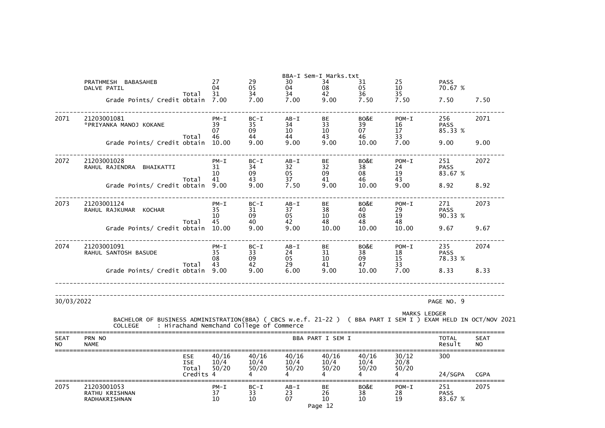| 2075                     | 21203001053<br>RATHU KRISHNAN<br>RADHAKRISHNAN                                                                                                                              | $PM - I$<br>37<br>10   | $BC-I$<br>33<br>10     | $AB - I$<br>23<br>07   | BE<br>26<br>10<br>Page 12          | BO&E<br>38<br>10                  | $POM-I$<br>28<br>19    | 251<br><b>PASS</b><br>83.67 % | 2075                     |
|--------------------------|-----------------------------------------------------------------------------------------------------------------------------------------------------------------------------|------------------------|------------------------|------------------------|------------------------------------|-----------------------------------|------------------------|-------------------------------|--------------------------|
|                          | <b>ESE</b><br><b>ISE</b><br>Total<br>Credits 4                                                                                                                              | 40/16<br>10/4<br>50/20 | 40/16<br>10/4<br>50/20 | 40/16<br>10/4<br>50/20 | 40/16<br>10/4<br>50/20             | 40/16<br>10/4<br>50/20            | 30/12<br>20/8<br>50/20 | 300<br>24/SGPA                | <b>CGPA</b>              |
| <b>SEAT</b><br><b>NO</b> | PRN NO<br><b>NAME</b>                                                                                                                                                       |                        |                        |                        | BBA PART I SEM I                   |                                   |                        | <b>TOTAL</b><br>Result        | <b>SEAT</b><br><b>NO</b> |
|                          | BACHELOR OF BUSINESS ADMINISTRATION(BBA) ( CBCS w.e.f. 21-22 ) ( BBA PART I SEM I ) EXAM HELD IN OCT/NOV 2021<br>: Hirachand Nemchand College of Commerce<br><b>COLLEGE</b> |                        |                        |                        |                                    |                                   |                        | <b>MARKS LEDGER</b>           |                          |
| 30/03/2022               |                                                                                                                                                                             |                        |                        |                        |                                    |                                   |                        | PAGE NO. 9                    |                          |
|                          | 10tal 43<br>Grade Points/ Credit obtain 9.00                                                                                                                                | 43                     | $\frac{42}{9.00}$      | 29<br>6.00             | 41<br>9.00                         | 47<br>10.00                       | 33<br>7.00             | 8.33                          | 8.33                     |
| 2074                     | 21203001091<br>RAHUL SANTOSH BASUDE                                                                                                                                         | $PM - I$<br>35<br>08   | $BC-I$<br>33<br>09     | AB-I<br>24<br>05       | <b>BE</b><br>31<br>10 <sup>°</sup> | BO&E <b>All All A</b><br>38<br>09 | $POM-I$<br>18<br>15    | 235<br><b>PASS</b><br>78.33 % | 2074                     |
|                          | Total<br>Grade Points/ Credit obtain 10.00                                                                                                                                  | 45                     | 40<br>9.00             | 42<br>9.00             | 48<br>10.00                        | 48<br>10.00                       | 48<br>10.00            | 9.67                          | 9.67                     |
| 2073                     | 21203001124<br>RAHUL RAJKUMAR KOCHAR                                                                                                                                        | $PM - I$<br>35<br>10   | $BC-I$<br>31<br>09     | $AB-I$<br>37<br>05     | BE<br>38<br>10 <sup>°</sup>        | BO&E<br>40<br>08                  | $POM-I$<br>29<br>19    | 271<br><b>PASS</b><br>90.33 % | 2073                     |
|                          | Total<br>Grade Points/ Credit obtain 9.00                                                                                                                                   | 10<br>41               | 09<br>43<br>9.00       | 05<br>37<br>7.50       | 09<br>41<br>9.00                   | 08<br>46<br>10.00                 | 19<br>43<br>9.00       | 83.67 %<br>8.92               | 8.92                     |
| 2072                     | 21203001028<br>RAHUL RAJENDRA BHAIKATTI                                                                                                                                     | $PM - I$<br>31         | $BC-I$<br>34           | AB-I<br>32             | <b>BE</b><br>32                    | BO&E<br>38                        | $POM-I$<br>24          | 251<br><b>PASS</b>            | 2072                     |
|                          | Total<br>Grade Points/ Credit obtain 10.00                                                                                                                                  | 07<br>46               | 09<br>44<br>9.00       | 10<br>44<br>9.00       | 10 <sup>°</sup><br>43<br>9.00      | 07<br>46<br>10.00                 | 17<br>33<br>7.00       | 85.33 %<br>9.00               | 9.00                     |
| 2071                     | 21203001081<br>*PRIYANKA MANOJ KOKANE                                                                                                                                       | $PM - I$<br>39         | $BC-I$<br>35           | $AB-I$<br>34           | <b>BE</b><br>33                    | BO&E<br>39                        | $POM-I$<br>16          | 256<br><b>PASS</b>            | 2071                     |
|                          | Total<br>Grade Points/ Credit obtain 7.00                                                                                                                                   | 31                     | 34<br>7.00             | 34<br>7.00             | 42<br>9.00                         | 36<br>7.50                        | 35<br>7.50             | 7.50                          | 7.50                     |
|                          | PRATHMESH BABASAHEB<br>DALVE PATIL                                                                                                                                          | 27<br>04               | 29<br>05               | 30<br>04               | BBA-I Sem-I Marks.txt<br>34<br>08  | 31<br>05                          | 25<br>10 <sup>°</sup>  | <b>PASS</b><br>70.67 %        |                          |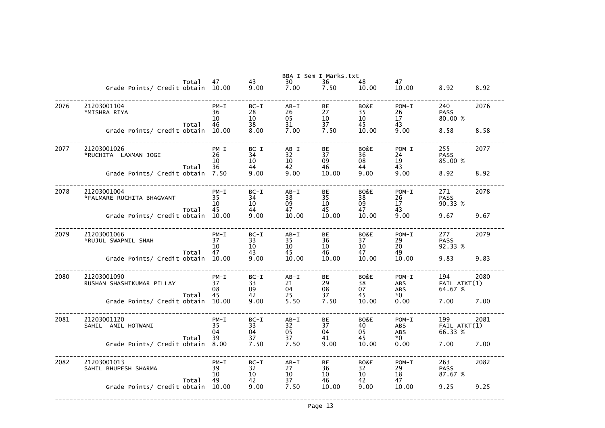|      |                                          |       |                            |                                       |                                                           | BBA-I Sem-I Marks.txt |                        |                                    |                                |      |
|------|------------------------------------------|-------|----------------------------|---------------------------------------|-----------------------------------------------------------|-----------------------|------------------------|------------------------------------|--------------------------------|------|
|      | Grade Points/ Credit obtain 10.00        | Total | 47                         | 43<br>9.00                            | 30<br>7.00                                                | 36<br>7.50            | 48<br>10.00            | 47<br>10.00                        | 8.92                           | 8.92 |
| 2076 | 21203001104<br>*MISHRA RIYA              |       | $PM - I$<br>36<br>10       | $BC-I$<br>28<br>10 <sup>°</sup>       | $AB - I$<br>26<br>05                                      | BE<br>27<br>10        | BO&E<br>35<br>10       | $POM-I$<br>26<br>17                | 240<br><b>PASS</b><br>80.00 %  | 2076 |
|      | Grade Points/ Credit obtain              | Total | 46<br>10.00                | 38<br>8.00                            | 31<br>7.00                                                | 37<br>7.50            | 45<br>10.00            | 43<br>9.00                         | 8.58                           | 8.58 |
| 2077 | 21203001026<br>*RUCHITA LAXMAN JOGI      | Total | $PM - I$<br>26<br>10<br>36 | $BC-I$<br>34<br>10<br>44              | $AB - I$<br>32<br>10<br>42                                | BE<br>37<br>09<br>46  | BO&E<br>36<br>08<br>44 | $POM-I$<br>24<br>19<br>43          | 255<br><b>PASS</b><br>85.00 %  | 2077 |
|      | Grade Points/ Credit obtain              |       | 7.50                       | 9.00                                  | 9.00                                                      | 10.00                 | 9.00                   | 9.00                               | 8.92                           | 8.92 |
| 2078 | 21203001004<br>*FALMARE RUCHITA BHAGVANT | Total | $PM - I$<br>35<br>10<br>45 | $BC-I$<br>34<br>10<br>44              | $AB - I$<br>38<br>09<br>47                                | BE<br>35<br>10<br>45  | BO&E<br>38<br>09<br>47 | $POM-I$<br>26<br>17<br>43          | 271<br><b>PASS</b><br>90.33 %  | 2078 |
|      | Grade Points/ Credit obtain              |       | 10.00                      | 9.00                                  | 10.00                                                     | 10.00                 | 10.00                  | 9.00                               | 9.67                           | 9.67 |
| 2079 | 21203001066<br>*RUJUL SWAPNIL SHAH       | Total | $PM - I$<br>37<br>10<br>47 | $BC-I$<br>33<br>10<br>43              | $AB - I$<br>35<br>10<br>45                                | BE<br>36<br>10<br>46  | BO&E<br>37<br>10<br>47 | $POM-I$<br>29<br>20<br>49          | 277<br><b>PASS</b><br>92.33 %  | 2079 |
|      | Grade Points/ Credit obtain              |       | 10.00                      | 9.00                                  | 10.00                                                     | 10.00                 | 10.00                  | 10.00                              | 9.83                           | 9.83 |
| 2080 | 21203001090<br>RUSHAN SHASHIKUMAR PILLAY | Total | $PM - I$<br>37<br>08<br>45 | $BC-I$<br>33<br>09<br>42              | $AB - I$<br>21<br>04<br>25                                | BE<br>29<br>08<br>37  | BO&E<br>38<br>07<br>45 | $POM-I$<br>ABS<br><b>ABS</b><br>*0 | 194<br>FAIL ATKT(1)<br>64.67 % | 2080 |
|      | Grade Points/ Credit obtain 10.00        |       |                            | 9.00                                  | 5.50                                                      | 7.50                  | 10.00                  | 0.00                               | 7.00                           | 7.00 |
| 2081 | 21203001120<br>SAHIL ANIL HOTWANI        | Total | $PM - I$<br>35<br>04<br>39 | $BC-I$<br>33<br>04<br>37              | $AB - I$<br>$\begin{array}{c} 32 \\ 05 \end{array}$<br>37 | BE<br>37<br>04<br>41  | BO&E<br>40<br>05<br>45 | $POM-I$<br>ABS<br>ABS<br>$*0$      | 199<br>FAIL ATKT(1)<br>66.33 % | 2081 |
|      | Grade Points/ Credit obtain              |       | 8.00                       | 7.50                                  | 7.50                                                      | 9.00                  | 10.00                  | 0.00                               | 7.00                           | 7.00 |
| 2082 | 21203001013<br>SAHIL BHUPESH SHARMA      | Total | $PM - I$<br>39<br>10<br>49 | $BC-I$<br>32<br>10 <sup>°</sup><br>42 | $AB - I$<br>27<br>10<br>37                                | BE<br>36<br>10<br>46  | BO&E<br>32<br>10<br>42 | $POM-I$<br>29<br>18<br>47          | 263<br><b>PASS</b><br>87.67 %  | 2082 |
|      | Grade Points/ Credit obtain              |       | 10.00                      | 9.00                                  | 7.50                                                      | 10.00                 | 9.00                   | 10.00                              | 9.25                           | 9.25 |
|      |                                          |       |                            |                                       |                                                           |                       |                        |                                    |                                |      |

|                                 | 8.92          |  |      |  |
|---------------------------------|---------------|--|------|--|
|                                 | 2076          |  |      |  |
| %                               |               |  |      |  |
|                                 | 8.58          |  |      |  |
|                                 | -----<br>2077 |  |      |  |
| %                               |               |  |      |  |
|                                 | 8.92          |  |      |  |
|                                 | 2078          |  |      |  |
| %                               |               |  |      |  |
|                                 | 9.67          |  |      |  |
|                                 | 2079          |  |      |  |
| %                               |               |  |      |  |
|                                 | 9.83          |  |      |  |
| $\frac{2080}{KT(1)}$<br>A٦<br>% |               |  |      |  |
|                                 | 7.00          |  |      |  |
| 2081<br>ATKT(1)<br>%            | $----$        |  | ---- |  |
|                                 | 7.00          |  |      |  |
|                                 | 2082          |  |      |  |
| %                               |               |  |      |  |
|                                 | 9.25          |  |      |  |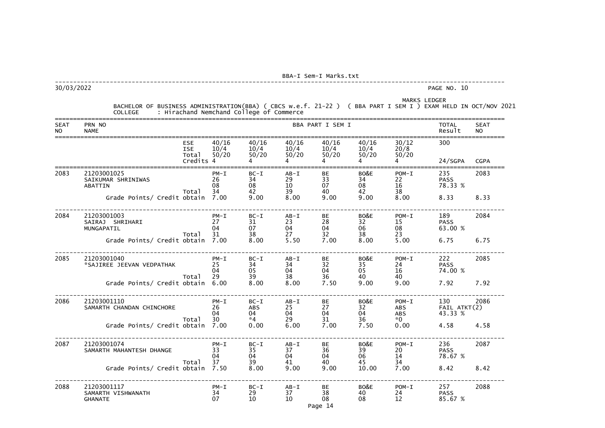---------------------------------------------------------------------------------------------------------------------------

------------------<br>2086<br>ATKT(2)<br>3 %

30/03/2022 PAGE NO. 10

MARKS LEDGER

|         | BACHELOR OF BUSINESS ADMINISTRATION(BBA) ( CBCS w.e.f. 21-22 ) ( L. |  | ( BBA PART I SEM I ) EXAM HELD IN OCT/NOV 2021 |
|---------|---------------------------------------------------------------------|--|------------------------------------------------|
| COLLEGE | Hirachand Nemchand College of Commerce                              |  |                                                |

| <b>SEAT</b><br><b>NO</b> | PRN NO<br><b>NAME</b>                               |                                                |                            |                            |                            | BBA PART I SEM I          |                        |                              | <b>TOTAL</b><br>Result         | <b>SEAT</b><br><b>NO</b> |
|--------------------------|-----------------------------------------------------|------------------------------------------------|----------------------------|----------------------------|----------------------------|---------------------------|------------------------|------------------------------|--------------------------------|--------------------------|
|                          |                                                     | <b>ESE</b><br><b>ISE</b><br>Total<br>Credits 4 | 40/16<br>10/4<br>50/20     | 40/16<br>10/4<br>50/20     | 40/16<br>10/4<br>50/20     | 40/16<br>10/4<br>50/20    | 40/16<br>10/4<br>50/20 | 30/12<br>20/8<br>50/20<br>4  | 300<br>24/SGPA                 | <b>CGPA</b>              |
| 2083                     | 21203001025<br>SAIKUMAR SHRINIWAS<br><b>ABATTIN</b> | Total                                          | $PM - I$<br>26<br>08<br>34 | $BC-I$<br>34<br>08<br>42   | $AB - I$<br>29<br>10<br>39 | BE<br>33<br>07<br>40      | BO&E<br>34<br>08<br>42 | $POM-I$<br>22<br>16<br>38    | 235<br><b>PASS</b><br>78.33 %  | 2083                     |
|                          | Grade Points/ Credit obtain                         |                                                | 7.00                       | 9.00                       | 8.00                       | 9.00                      | 9.00                   | 8.00                         | 8.33                           | 8.33                     |
| 2084                     | 21203001003<br>SAIRAJ SHRIHARI<br>MUNGAPATIL        |                                                | $PM - I$<br>27<br>04<br>31 | $BC-I$<br>31<br>07<br>38   | $AB - I$<br>23<br>04<br>27 | BE<br>28<br>04            | BO&E<br>32<br>06<br>38 | $POM-I$<br>15<br>08<br>23    | 189<br><b>PASS</b><br>63.00 %  | 2084                     |
|                          | Grade Points/ Credit obtain                         | Total                                          | 7.00                       | 8.00                       | 5.50                       | 32<br>7.00                | 8.00                   | 5.00                         | 6.75                           | 6.75                     |
| 2085                     | 21203001040<br>*SAJIREE JEEVAN VEDPATHAK            |                                                | $PM - I$<br>25<br>04       | $BC-I$<br>34<br>05         | $AB - I$<br>34<br>04       | BE<br>32<br>04            | BO&E<br>35<br>05       | $POM-I$<br>24<br>16          | 222<br><b>PASS</b><br>74.00 %  | 2085                     |
|                          | Grade Points/ Credit obtain                         | Total                                          | 29<br>6.00                 | 39<br>8.00                 | 38<br>8.00                 | 36<br>7.50                | 40<br>9.00             | 40<br>9.00                   | 7.92                           | 7.92                     |
| 2086                     | 21203001110<br>SAMARTH CHANDAN CHINCHORE            |                                                | $PM - I$<br>26<br>04       | $BC-I$<br><b>ABS</b><br>04 | $AB - I$<br>25<br>04       | BE<br>27<br>04            | BO&E<br>32<br>04       | $POM-I$<br><b>ABS</b><br>ABS | 130<br>FAIL ATKT(2)<br>43.33 % | 2086                     |
|                          | Grade Points/ Credit obtain                         | Total                                          | 30<br>7.00                 | $*4$<br>0.00               | 29<br>6.00                 | 31<br>7.00                | 36<br>7.50             | $*0$<br>0.00                 | 4.58                           | 4.58                     |
| 2087                     | 21203001074<br>SAMARTH MAHANTESH DHANGE             |                                                | $PM - I$<br>33<br>04       | $BC-I$<br>35<br>04         | $AB - I$<br>37<br>04       | BE<br>36<br>04            | BO&E<br>39<br>06       | $POM-I$<br>20<br>14          | 236<br><b>PASS</b><br>78.67 %  | 2087                     |
|                          | Grade Points/ Credit obtain 7.50                    | Total                                          | 37                         | 39<br>8.00                 | 41<br>9.00                 | 40<br>9.00                | 45<br>10.00            | 34<br>7.00                   | 8.42                           | 8.42                     |
| 2088                     | 21203001117<br>SAMARTH VISHWANATH<br><b>GHANATE</b> |                                                | $PM - I$<br>34<br>07       | $BC-I$<br>29<br>10         | $AB - I$<br>37<br>10       | BE<br>38<br>08<br>Page 14 | BO&E<br>40<br>08       | $POM-I$<br>24<br>12          | 257<br><b>PASS</b><br>85.67 %  | 2088                     |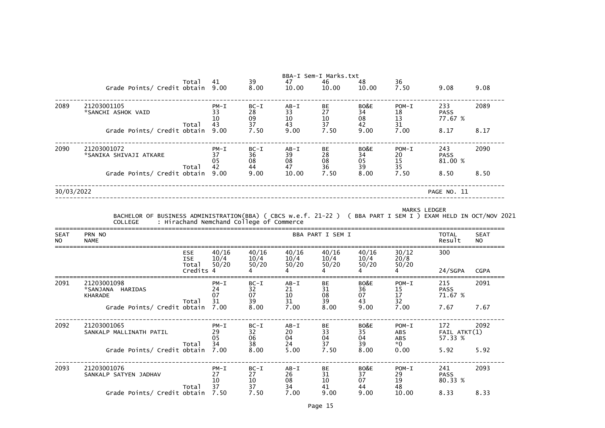|                          | Grade Points/ Credit obtain 9.00                                                                                                | Total                                          | 41                                       | 39<br>8.00               | 47<br>10.00                | BBA-I Sem-I Marks.txt<br>46<br>10.00 | 48<br>10.00            | 36<br>7.50                                         | 9.08                               | 9.08                     |
|--------------------------|---------------------------------------------------------------------------------------------------------------------------------|------------------------------------------------|------------------------------------------|--------------------------|----------------------------|--------------------------------------|------------------------|----------------------------------------------------|------------------------------------|--------------------------|
| 2089                     | 21203001105<br>*SANCHI ASHOK VAID                                                                                               |                                                | $PM - I$<br>33<br>10                     | $BC-I$<br>28<br>09       | $AB - I$<br>33<br>10       | BE<br>27<br>$\frac{10}{37}$          | BO&E<br>34<br>08       | $POM-I$<br>$\begin{array}{c} 18 \\ 13 \end{array}$ | 233<br><b>PASS</b><br>77.67 %      | 2089                     |
|                          | Grade Points/ Credit obtain                                                                                                     | Total                                          | 43<br>9.00                               | 37<br>7.50               | 43<br>9.00                 | 7.50                                 | 42<br>9.00             | 31<br>7.00                                         | 8.17                               | 8.17                     |
| 2090                     | 21203001072<br>*SANIKA SHIVAJI ATKARE                                                                                           | Total                                          | $PM - I$<br>37<br>05<br>42               | $BC-I$<br>36<br>08<br>44 | $AB - I$<br>39<br>08<br>47 | BE<br>28<br>08<br>36                 | BO&E<br>34<br>05<br>39 | $POM-I$<br>20<br>15<br>35                          | 243<br><b>PASS</b><br>81.00 %      | 2090                     |
|                          | Grade Points/ Credit obtain                                                                                                     |                                                | 9.00                                     | 9.00                     | 10.00                      | 7.50                                 | 8.00                   | 7.50                                               | 8.50                               | 8.50                     |
| 30/03/2022               |                                                                                                                                 |                                                |                                          |                          |                            |                                      |                        |                                                    | PAGE NO. 11                        |                          |
|                          | BACHELOR OF BUSINESS ADMINISTRATION(BBA) ( CBCS w.e.f. 21-22 ) ( BBA PART I SEM I ) EXAM HELD IN OCT/NOV 2021<br><b>COLLEGE</b> |                                                | : Hirachand Nemchand College of Commerce |                          |                            |                                      |                        | <b>MARKS LEDGER</b>                                |                                    |                          |
| <b>SEAT</b><br><b>NO</b> | PRN NO<br><b>NAME</b>                                                                                                           |                                                |                                          |                          |                            | BBA PART I SEM I                     |                        |                                                    | <b>TOTAL</b><br>Result             | <b>SEAT</b><br><b>NO</b> |
|                          |                                                                                                                                 | <b>ESE</b><br><b>ISE</b><br>Total<br>Credits 4 | 40/16<br>10/4<br>50/20                   | 40/16<br>10/4<br>50/20   | 40/16<br>10/4<br>50/20     | 40/16<br>10/4<br>50/20               | 40/16<br>10/4<br>50/20 | 30/12<br>20/8<br>50/20<br>4                        | 300<br>24/SGPA                     | <b>CGPA</b>              |
| 2091                     | 21203001098<br>*SANJANA HARIDAS<br><b>KHARADE</b>                                                                               | Total                                          | $PM - I$<br>24<br>07<br>31               | $BC-I$<br>32<br>07<br>39 | $AB - I$<br>21<br>10<br>31 | BE<br>31<br>08<br>39                 | BO&E<br>36<br>07<br>43 | $POM-I$<br>15<br>17<br>32                          | 215<br><b>PASS</b><br>71.67 %      | 2091                     |
|                          | Grade Points/ Credit obtain 7.00                                                                                                |                                                |                                          | 8.00                     | 7.00                       | 8.00                                 | 9.00                   | 7.00                                               | 7.67                               | 7.67                     |
| 2092                     | 21203001065<br>SANKALP MALLINATH PATIL                                                                                          |                                                | $PM - I$<br>29<br>05<br>34               | $BC-I$<br>32<br>06<br>38 | $AB-I$<br>20<br>04         | BE<br>33<br>04<br>37                 | BO&E<br>35<br>04       | $POM-I$<br>ABS<br>ABS<br>$*0$                      | 172<br>$FAIL$ $ATKT(1)$<br>57.33 % | 2092                     |
|                          | Grade Points/ Credit obtain                                                                                                     | Total                                          | 7.00                                     | 8.00                     | 24<br>5.00                 | 7.50                                 | 39<br>8.00             | 0.00                                               | 5.92                               | 5.92                     |
| 2093                     | 21203001076<br>SANKALP SATYEN JADHAV                                                                                            | Total                                          | $PM - I$<br>27<br>10<br>37               | $BC-I$<br>27<br>10<br>37 | $AB - I$<br>26<br>08<br>34 | BE<br>31<br>10 <sup>°</sup><br>41    | BO&E<br>37<br>07<br>44 | $POM-I$<br>29<br>19<br>48                          | 241<br><b>PASS</b><br>80.33 %      | 2093                     |
|                          | Grade Points/ Credit obtain 7.50                                                                                                |                                                |                                          | 7.50                     | 7.00                       | 9.00                                 | 9.00                   | 10.00                                              | 8.33                               | 8.33                     |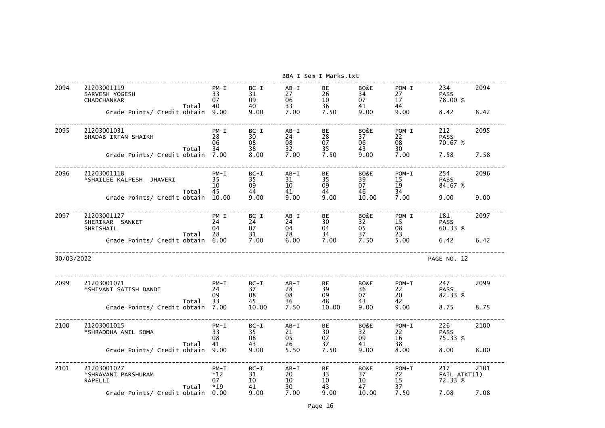|            |                                                                                             |                                    |                                  |                                    | BBA-I Sem-I Marks.txt        |                                |                                        |                                       |              |
|------------|---------------------------------------------------------------------------------------------|------------------------------------|----------------------------------|------------------------------------|------------------------------|--------------------------------|----------------------------------------|---------------------------------------|--------------|
| 2094       | 21203001119<br>SARVESH YOGESH<br><b>CHADCHANKAR</b><br>Total<br>Grade Points/ Credit obtain | $PM - I$<br>33<br>07<br>40<br>9.00 | $BC-I$<br>31<br>09<br>40<br>9.00 | $AB - I$<br>27<br>06<br>33<br>7.00 | BE<br>26<br>10<br>36<br>7.50 | BO&E<br>34<br>07<br>41<br>9.00 | $POM-I$<br>27<br>$17 \,$<br>44<br>9.00 | 234<br><b>PASS</b><br>78.00 %<br>8.42 | 2094<br>8.42 |
|            |                                                                                             |                                    |                                  |                                    |                              |                                |                                        |                                       |              |
| 2095       | 21203001031<br>SHADAB IRFAN SHAIKH<br>Total                                                 | $PM - I$<br>28<br>06<br>34         | $BC-I$<br>30<br>08<br>38         | $AB - I$<br>24<br>08<br>32         | BE<br>28<br>07<br>35         | BO&E<br>37<br>06<br>43         | $POM-I$<br>22<br>08<br>30              | 212<br><b>PASS</b><br>70.67 %         | 2095         |
|            | Grade Points/ Credit obtain 7.00                                                            |                                    | 8.00                             | 7.00                               | 7.50                         | 9.00                           | 7.00                                   | 7.58                                  | 7.58         |
| 2096       | 21203001118<br>*SHAILEE KALPESH JHAVERI<br>Total                                            | $PM - I$<br>35<br>10<br>45         | $BC-I$<br>35<br>09<br>44         | $AB - I$<br>31<br>10<br>41         | BE<br>35<br>09<br>44         | BO&E<br>39<br>07<br>46         | $POM-I$<br>15<br>19<br>34              | 254<br><b>PASS</b><br>84.67 %         | 2096         |
|            | Grade Points/ Credit obtain 10.00                                                           |                                    | 9.00                             | 9.00                               | 9.00                         | 10.00                          | 7.00                                   | 9.00                                  | 9.00         |
| 2097       | 21203001127<br>SHERIKAR SANKET<br>SHRISHAIL<br>Total                                        | $PM - I$<br>24<br>04<br>28         | $BC-I$<br>24<br>07<br>31         | $AB - I$<br>24<br>04<br>28         | BE<br>30<br>04<br>34         | BO&E<br>32<br>05<br>37         | $POM-I$<br>15<br>08<br>23              | 181<br><b>PASS</b><br>60.33 %         | 2097         |
|            | Grade Points/ Credit obtain 6.00                                                            |                                    | 7.00                             | 6.00                               | 7.00                         | 7.50                           | 5.00                                   | 6.42                                  | 6.42         |
| 30/03/2022 |                                                                                             |                                    |                                  |                                    |                              |                                |                                        | PAGE NO. 12                           |              |
| 2099       | 21203001071<br>*SHIVANI SATISH DANDI<br>Total                                               | $PM - I$<br>24<br>09<br>33         | $BC-I$<br>37<br>08<br>45         | $AB - I$<br>28<br>08<br>36         | BE<br>39<br>09<br>48         | BO&E<br>36<br>07<br>43         | $POM-I$<br>22<br>20<br>42              | 247<br><b>PASS</b><br>82.33 %         | 2099         |
|            | Grade Points/ Credit obtain 7.00                                                            |                                    | 10.00                            | 7.50                               | 10.00                        | 9.00                           | 9.00                                   | 8.75                                  | 8.75         |
| 2100       | 21203001015<br>*SHRADDHA ANIL SOMA<br>Total                                                 | $PM - I$<br>33<br>08<br>41         | $BC-I$<br>35<br>08<br>43         | $AB - I$<br>21<br>05<br>26         | BE<br>30<br>07<br>37         | BO&E<br>32<br>09<br>41         | $POM-I$<br>22<br>16<br>38              | 226<br><b>PASS</b><br>75.33 %         | 2100         |
|            | Grade Points/ Credit obtain                                                                 | 9.00                               | 9.00                             | 5.50                               | 7.50                         | 9.00                           | 8.00                                   | 8.00                                  | 8.00         |
| 2101       | 21203001027<br>*SHRAVANI PARSHURAM<br>RAPELLI<br>Total                                      | $PM - I$<br>$*12$<br>07<br>$*19$   | $BC-I$<br>31<br>10<br>41         | $AB - I$<br>20<br>10<br>30         | BE<br>33<br>10<br>43         | BO&E<br>37<br>10<br>47         | $POM-I$<br>22<br>15<br>37              | 217<br>FAIL ATKT(1)<br>72.33 %        | 2101         |
|            | Grade Points/ Credit obtain                                                                 | 0.00                               | 9.00                             | 7.00                               | 9.00                         | 10.00                          | 7.50                                   | 7.08                                  | 7.08         |

|               | 2094             |
|---------------|------------------|
| %             |                  |
|               |                  |
|               | 8.42             |
|               |                  |
|               | 2095             |
|               |                  |
| %             |                  |
|               |                  |
|               | 7.58             |
|               |                  |
|               | 2096             |
|               |                  |
| %             |                  |
|               | 9.00             |
|               |                  |
|               |                  |
|               | 2097             |
|               |                  |
| %             |                  |
|               | 6.42             |
|               |                  |
|               |                  |
| 12            |                  |
|               |                  |
|               |                  |
|               | 2099             |
|               |                  |
| %             |                  |
|               | 8.75             |
|               |                  |
|               |                  |
|               | 2100             |
| %             |                  |
|               |                  |
|               | 8.00             |
|               |                  |
|               |                  |
|               | $\frac{2101}{2}$ |
| $\frac{1}{8}$ |                  |
|               |                  |
|               | 7.08             |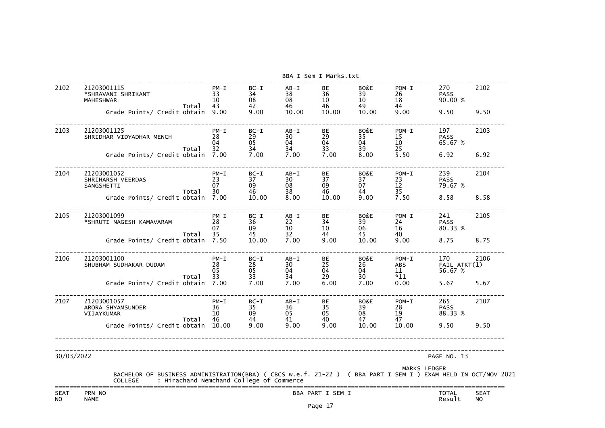|                          |                                                                                                                                                                             |                            |                                  |                            | BBA-I Sem-I Marks.txt           |                                     |                           |                                |                          |
|--------------------------|-----------------------------------------------------------------------------------------------------------------------------------------------------------------------------|----------------------------|----------------------------------|----------------------------|---------------------------------|-------------------------------------|---------------------------|--------------------------------|--------------------------|
| 2102                     | 21203001115<br>*SHRAVANI SHRIKANT<br><b>MAHESHWAR</b><br>Total                                                                                                              | $PM - I$<br>33<br>10<br>43 | $BC-I$<br>34<br>08<br>42         | AB-I<br>38<br>08<br>46     | <b>BE</b><br>36<br>$10\,$<br>46 | BO&E<br>39<br>10 <sup>°</sup><br>49 | $POM-I$<br>26<br>18<br>44 | 270<br><b>PASS</b><br>90.00 %  | 2102                     |
|                          | Grade Points/ Credit obtain 9.00                                                                                                                                            |                            | 9.00                             | 10.00                      | 10.00                           | 10.00                               | 9.00                      | 9.50                           | 9.50                     |
| 2103                     | 21203001125<br>SHRIDHAR VIDYADHAR MENCH<br>Total                                                                                                                            | $PM - I$<br>28<br>04<br>32 | $BC-I$<br>29<br>05<br>34         | $AB - I$<br>30<br>04<br>34 | BE<br>29<br>04<br>33            | BO&E<br>35<br>04<br>39              | $POM-I$<br>15<br>10<br>25 | 197<br><b>PASS</b><br>65.67 %  | 2103                     |
|                          | Grade Points/ Credit obtain 7.00                                                                                                                                            |                            | 7.00                             | 7.00                       | 7.00                            | 8.00                                | 5.50                      | 6.92                           | 6.92                     |
| 2104                     | 21203001052<br>SHRIHARSH VEERDAS<br>SANGSHETTI<br>Total                                                                                                                     | $PM - I$<br>23<br>07<br>30 | $BC-I$<br>37<br>09<br>46         | $AB - I$<br>30<br>08<br>38 | <b>BE</b><br>37<br>09<br>46     | BO&E<br>37<br>07<br>44              | $POM-I$<br>23<br>12<br>35 | 239<br><b>PASS</b><br>79.67 %  | 2104                     |
|                          | Grade Points/ Credit obtain 7.00                                                                                                                                            |                            | 10.00                            | 8.00                       | 10.00                           | 9.00                                | 7.50                      | 8.58                           | 8.58                     |
| 2105                     | 21203001099<br>*SHRUTI NAGESH KAMAVARAM                                                                                                                                     | $PM - I$<br>28<br>07       | $BC-I$<br>36<br>09               | $AB - I$<br>22<br>10       | <b>BE</b><br>34<br>$10\,$       | BO&E<br>39<br>06                    | $POM-I$<br>24<br>16       | 241<br><b>PASS</b><br>80.33 %  | 2105                     |
|                          | Total<br>Grade Points/ Credit obtain 7.50                                                                                                                                   | 35                         | 45<br>10.00                      | 32<br>7.00                 | 44<br>9.00                      | 45<br>10.00                         | 40<br>9.00                | 8.75                           | 8.75                     |
| 2106                     | 21203001100<br>SHUBHAM SUDHAKAR DUDAM                                                                                                                                       | $PM - I$<br>28<br>05       | $BC-I$<br>28<br>05               | $AB - I$<br>30<br>04       | BE<br>25<br>04                  | BO&E<br>26<br>04                    | $POM-I$<br>ABS<br>11      | 170<br>FAIL ATKT(1)<br>56.67 % | 2106                     |
|                          | Total<br>Grade Points/ Credit obtain 7.00                                                                                                                                   | 33                         | 33<br>7.00                       | 34<br>7.00                 | 29<br>6.00                      | 30<br>7.00                          | $*11$<br>0.00             | 5.67                           | 5.67                     |
| 2107                     | 21203001057<br>ARORA SHYAMSUNDER<br>VIJAYKUMAR                                                                                                                              | 36<br>10                   | $PM-I$ $BC-I$ $AB-I$<br>35<br>09 | 36<br>05                   | <b>BE</b><br>35<br>05           | BO&E<br>39<br>08                    | $POM-I$<br>28<br>19       | 265<br><b>PASS</b><br>88.33 %  | 2107                     |
|                          | Total<br>Grade Points/ Credit obtain 10.00                                                                                                                                  | 46                         | 44<br>9.00                       | 41<br>9.00                 | 40<br>9.00                      | 47<br>10.00                         | 47<br>10.00               | 9.50                           | 9.50                     |
| 30/03/2022               |                                                                                                                                                                             |                            |                                  |                            |                                 |                                     |                           | PAGE NO. 13                    |                          |
|                          | BACHELOR OF BUSINESS ADMINISTRATION(BBA) ( CBCS w.e.f. 21-22 ) ( BBA PART I SEM I ) EXAM HELD IN OCT/NOV 2021<br>: Hirachand Nemchand College of Commerce<br><b>COLLEGE</b> |                            |                                  |                            |                                 |                                     |                           | <b>MARKS LEDGER</b>            |                          |
| <b>SEAT</b><br><b>NO</b> | PRN NO<br><b>NAME</b>                                                                                                                                                       |                            |                                  |                            | BBA PART I SEM I                |                                     |                           | <b>TOTAL</b><br>Result         | <b>SEAT</b><br><b>NO</b> |

Page 17

| c  | :===========<br><b>SEAT</b> |
|----|-----------------------------|
|    | IN OCT/NOV 202              |
| 13 |                             |
|    |                             |
| %  | 9.50                        |
|    | 2107                        |
|    | 5.67                        |
| %  |                             |
|    | 2106<br>ATKT(1)             |
|    | 8.75                        |
| %  | 2105                        |
|    |                             |
| %  | 8.58                        |
|    | 2104                        |
|    | 6.92                        |
| %  |                             |
|    | 2103                        |
|    | 9.50                        |
| %  |                             |
|    | 2102                        |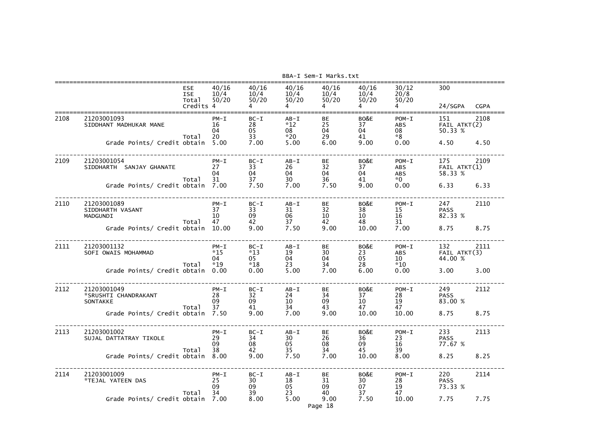|      |                                                                                     |                                                | BBA-I Sem-I Marks.txt                    |                                        |                                                        |                              |                                              |                                                     |                                            |              |
|------|-------------------------------------------------------------------------------------|------------------------------------------------|------------------------------------------|----------------------------------------|--------------------------------------------------------|------------------------------|----------------------------------------------|-----------------------------------------------------|--------------------------------------------|--------------|
|      |                                                                                     | <b>ESE</b><br><b>ISE</b><br>Total<br>Credits 4 | 40/16<br>10/4<br>50/20                   | 40/16<br>10/4<br>50/20                 | 40/16<br>10/4<br>50/20                                 | 40/16<br>10/4<br>50/20       | 40/16<br>10/4<br>50/20                       | 30/12<br>20/8<br>50/20                              | 300<br>24/SGPA                             | <b>CGPA</b>  |
| 2108 | 21203001093<br>SIDDHANT MADHUKAR MANE<br>Grade Points/ Credit obtain                | Total                                          | $PM - I$<br>16<br>04<br>20<br>5.00       | $BC-I$<br>28<br>05<br>33<br>7.00       | $AB - I$<br>$*12$<br>08<br>$*20$<br>5.00               | BЕ<br>25<br>04<br>29<br>6.00 | BO&E<br>37<br>04<br>41<br>9.00               | $POM-I$<br><b>ABS</b><br>08<br>$*8$<br>0.00         | 151<br>FAIL ATKT(2)<br>50.33 %<br>4.50     | 2108<br>4.50 |
| 2109 | 21203001054<br>SIDDHARTH SANJAY GHANATE<br>Grade Points/ Credit obtain              | Total                                          | $PM - I$<br>27<br>04<br>31<br>7.00       | $BC-I$<br>33<br>04<br>37<br>7.50       | $AB - I$<br>26<br>04<br>30<br>7.00                     | BE<br>32<br>04<br>36<br>7.50 | BO&E<br>37<br>04<br>41<br>9.00               | $POM-I$<br><b>ABS</b><br><b>ABS</b><br>$*0$<br>0.00 | 175<br>$FAIL$ $ATKT(1)$<br>58.33 %<br>6.33 | 2109<br>6.33 |
| 2110 | 21203001089<br>SIDDHARTH VASANT<br>MADGUNDI<br>Grade Points/ Credit obtain          | Total                                          | $PM - I$<br>37<br>10<br>47<br>10.00      | $BC-I$<br>33<br>09<br>42<br>9.00       | $AB - I$<br>31<br>06<br>37<br>7.50                     | BE<br>32<br>10<br>42<br>9.00 | BO&E<br>38<br>10<br>48<br>10.00              | $POM-I$<br>15<br>16<br>31<br>7.00                   | 247<br><b>PASS</b><br>82.33 %<br>8.75      | 2110<br>8.75 |
| 2111 | 21203001132<br>SOFI OWAIS MOHAMMAD<br>Grade Points/ Credit obtain                   | Total                                          | $PM - I$<br>$*15$<br>04<br>$*19$<br>0.00 | $BC-I$<br>$*13$<br>05<br>$*18$<br>0.00 | $AB - I$<br>19<br>04<br>23<br>5.00                     | BE<br>30<br>04<br>34<br>7.00 | BO&E<br>23<br>05<br>28<br>6.00               | $POM-I$<br><b>ABS</b><br>10<br>$*10$<br>0.00        | 132<br>FAIL ATKT(3)<br>44.00 %<br>3.00     | 2111<br>3.00 |
| 2112 | 21203001049<br>*SRUSHTI CHANDRAKANT<br>SONTAKKE<br>Grade Points/ Credit obtain 7.50 | Total                                          | $PM - I$<br>28<br>09<br>37               | $BC-I$<br>32<br>09<br>41<br>9.00       | $AB - I$<br>24<br>10 <sub>1</sub><br>$\frac{34}{7.00}$ | BE<br>34<br>09<br>43<br>9.00 | BO&E<br>37<br>10 <sup>°</sup><br>47<br>10.00 | $POM-I$<br>28<br>19<br>47<br>10.00                  | 249<br><b>PASS</b><br>83.00 %<br>8.75      | 2112<br>8.75 |
| 2113 | 21203001002<br>SUJAL DATTATRAY TIKOLE<br>Grade Points/ Credit obtain 8.00           | Total                                          | $PM - I$<br>29<br>09<br>38               | $BC-I$<br>34<br>08<br>42<br>9.00       | $AB - I$<br>$\frac{30}{05}$<br>35 <sup>5</sup><br>7.50 | BE<br>26<br>08<br>34<br>7.00 | BO&E<br>36<br>09<br>45<br>10.00              | $POM-I$<br>23<br>16<br>39<br>8.00                   | 233<br><b>PASS</b><br>77.67 %<br>8.25      | 2113<br>8.25 |
| 2114 | 21203001009<br>*TEJAL YATEEN DAS<br>Grade Points/ Credit obtain                     | Total                                          | $PM - I$<br>25<br>09<br>34<br>7.00       | $BC-I$<br>30<br>09<br>39<br>8.00       | $AB - I$<br>18<br>05<br>23<br>5.00                     | BE<br>31<br>09<br>40<br>9.00 | BO&E<br>30<br>07<br>37<br>7.50               | $POM-I$<br>28<br>19<br>47<br>10.00                  | 220<br><b>PASS</b><br>73.33 %<br>7.75      | 2114<br>7.75 |

Page 18

| PA<br>$2108$<br>ATKT $(2)$<br>% | <b>CGPA</b><br>:==========<br>÷         |
|---------------------------------|-----------------------------------------|
|                                 | 4.50                                    |
| $2109$<br>ATKT $(1)$<br>%       |                                         |
|                                 | 6.33                                    |
|                                 | 2110                                    |
| %                               |                                         |
|                                 | 8.75                                    |
| 2111<br>ATKT(3)<br>%            |                                         |
|                                 | 3.00                                    |
|                                 | 2112                                    |
| %                               |                                         |
|                                 | 8.75                                    |
|                                 | $\frac{1}{2}$<br>ò,<br>Ξ,<br>.,<br>2113 |
| %                               |                                         |
|                                 | 8.25                                    |
|                                 | ц,<br>Ξ,<br>2114                        |
| %                               |                                         |
|                                 |                                         |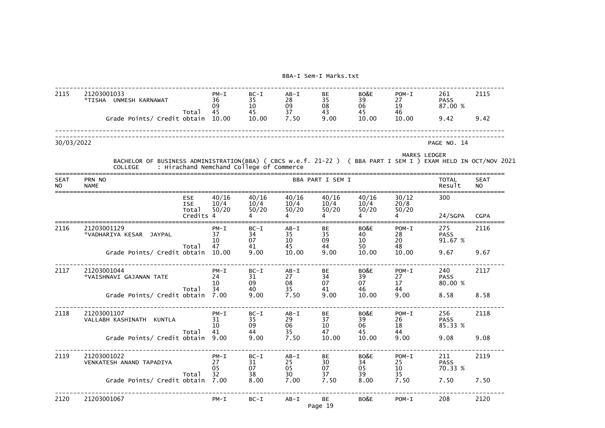| 2115       | 21203001033<br>*TISHA<br>UNMESH KARNAWAT   | $PM - I$<br>36<br>09 | $BC-I$<br>35<br>10 | $AB - I$<br>28<br>09<br>37<br>7.50 | BE<br>35<br>08<br>43<br>9.00 | BO&E<br>39<br>06<br>45<br>10.00 | $POM-I$<br>ד ר<br>19<br>46<br>10.00 | 261<br><b>PASS</b><br>87.00 |
|------------|--------------------------------------------|----------------------|--------------------|------------------------------------|------------------------------|---------------------------------|-------------------------------------|-----------------------------|
|            | Total<br>Grade Points/ Credit obtain 10.00 | 45                   | 45<br>10.00        |                                    |                              |                                 |                                     | 9.42                        |
| 30/03/2022 |                                            |                      |                    |                                    |                              |                                 |                                     | PAGE NO.                    |

| 2115                     | 21203001033<br>*TISHA UNMESH KARNAWAT                                                                                                                                       | $PM - I$<br>36<br>09                        | $BC-I$<br>35<br>10                       | $AB - I$<br>28<br>09                          | <b>BE</b><br>35<br>08                       | BO&E<br>39<br>06                         | $POM-I$<br>27<br>19                                         | 261<br><b>PASS</b><br>87.00 %                 | 2115                     |
|--------------------------|-----------------------------------------------------------------------------------------------------------------------------------------------------------------------------|---------------------------------------------|------------------------------------------|-----------------------------------------------|---------------------------------------------|------------------------------------------|-------------------------------------------------------------|-----------------------------------------------|--------------------------|
|                          | Total<br>Grade Points/ Credit obtain                                                                                                                                        | 45<br>10.00                                 | 45<br>10.00                              | 37<br>7.50                                    | 43<br>9.00                                  | 45<br>10.00                              | 46<br>10.00                                                 | 9.42                                          | 9.42                     |
| 30/03/2022               |                                                                                                                                                                             |                                             |                                          |                                               |                                             |                                          |                                                             | PAGE NO. 14                                   |                          |
|                          | BACHELOR OF BUSINESS ADMINISTRATION(BBA) ( CBCS w.e.f. 21-22 ) ( BBA PART I SEM I ) EXAM HELD IN OCT/NOV 2021<br>: Hirachand Nemchand College of Commerce<br><b>COLLEGE</b> |                                             |                                          |                                               |                                             |                                          | <b>MARKS LEDGER</b>                                         |                                               |                          |
| <b>SEAT</b><br><b>NO</b> | PRN NO<br><b>NAME</b>                                                                                                                                                       |                                             |                                          |                                               | BBA PART I SEM I                            |                                          |                                                             | <b>TOTAL</b><br>Result                        | <b>SEAT</b><br><b>NO</b> |
|                          | <b>ESE</b><br><b>ISE</b><br>Total<br>Credits 4                                                                                                                              | 40/16<br>10/4<br>50/20                      | 40/16<br>10/4<br>50/20                   | 40/16<br>10/4<br>50/20                        | 40/16<br>10/4<br>50/20                      | 40/16<br>10/4<br>50/20                   | 30/12<br>20/8<br>50/20                                      | 300<br>24/SGPA                                | <b>CGPA</b>              |
| 2116                     | 21203001129<br>*VADHARIYA KESAR<br><b>JAYPAL</b><br>Total                                                                                                                   | $PM - I$<br>37<br>10<br>47                  | $BC-I$<br>34<br>07<br>41                 | $AB - I$<br>35<br>10<br>45                    | BE<br>35<br>09<br>44                        | BO&E<br>40<br>10<br>50                   | $POM-I$<br>28<br>20<br>48                                   | 275<br><b>PASS</b><br>91.67 %                 | 2116                     |
| 2117                     | Grade Points/ Credit obtain<br>21203001044<br>*VAISHNAVI GAJANAN TATE<br>Total<br>Grade Points/ Credit obtain                                                               | 10.00<br>$PM - I$<br>24<br>10<br>34<br>7.00 | 9.00<br>$BC-I$<br>31<br>09<br>40<br>9.00 | 10.00<br>$AB-I$<br>27<br>08<br>35<br>7.50     | 9.00<br><b>BE</b><br>34<br>07<br>41<br>9.00 | 10.00<br>BO&E<br>39<br>07<br>46<br>10.00 | 10.00<br>$POM-I$<br>27<br>17<br>44<br>9.00                  | 9.67<br>240<br><b>PASS</b><br>80.00 %<br>8.58 | 9.67<br>2117<br>8.58     |
| 2118                     | 21203001107<br>VALLABH KASHINATH KUNTLA<br>Total<br>Grade Points/ Credit obtain 9.00                                                                                        | $PM - I$<br>31<br>10<br>41                  | $BC-I$<br>35<br>09<br>44<br>9.00         | $AB - I$<br>29<br>06<br>35<br>7.50            | <b>BE</b><br>37<br>10<br>47<br>10.00        | BO&E<br>39<br>06<br>45<br>10.00          | $POM-I$<br>26<br>18<br>44<br>9.00                           | 256<br><b>PASS</b><br>85.33 %<br>9.08         | 2118<br>9.08             |
| 2119                     | 21203001022<br>VENKATESH ANAND TAPADIYA<br>Total<br>Grade Points/ Credit obtain 7.00                                                                                        | $PM - I$<br>27<br>05<br>32 <sup>2</sup>     | $BC-I$<br>31<br>07<br>38<br>8.00         | $AB-I$<br>25<br>05<br>30 <sup>2</sup><br>7.00 | BE<br>30<br>07<br>37<br>7.50                | BO&E<br>34<br>05<br>39<br>8.00           | $POM-I$<br>25<br>10 <sup>°</sup><br>35 <sub>2</sub><br>7.50 | 211<br><b>PASS</b><br>70.33 %<br>7.50         | 2119<br>7.50             |
| 2120                     | 21203001067                                                                                                                                                                 | $PM - I$                                    | $BC-I$                                   | $AB - I$                                      | BE<br>Page 19                               | BO&E                                     | $POM-I$                                                     | 208                                           | 2120                     |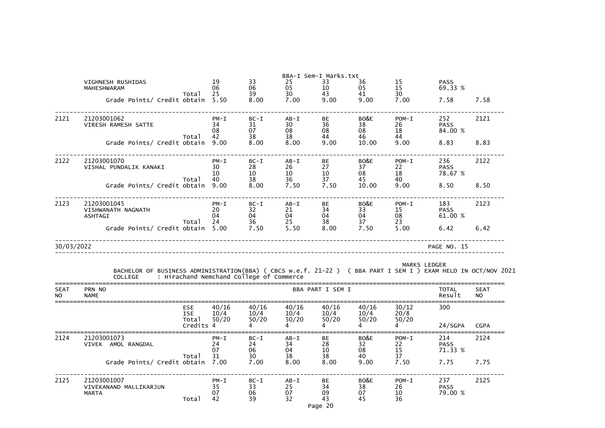|                    |                                                                                                                              |                                                |                                          |                          |                                         | BBA-I Sem-I Marks.txt  |                        |                           |                               |                          |
|--------------------|------------------------------------------------------------------------------------------------------------------------------|------------------------------------------------|------------------------------------------|--------------------------|-----------------------------------------|------------------------|------------------------|---------------------------|-------------------------------|--------------------------|
|                    | VIGHNESH RUSHIDAS<br>MAHESHWARAM                                                                                             |                                                | 19<br>06                                 | 33<br>06                 | 25<br>05                                | 33<br>10               | 36<br>05               | 15<br>15                  | <b>PASS</b><br>69.33 %        |                          |
|                    | Grade Points/ Credit obtain                                                                                                  | Total                                          | 25<br>5.50                               | 39<br>8.00               | 30<br>7.00                              | 43<br>9.00             | 41<br>9.00             | 30<br>7.00                | 7.58                          | 7.58                     |
| 2121               | 21203001062<br>VIRESH RAMESH SATTE                                                                                           | Total                                          | $PM - I$<br>34<br>08<br>42               | $BC-I$<br>31<br>07<br>38 | $AB - I$<br>30<br>08<br>38              | BE<br>36<br>08<br>44   | BO&E<br>38<br>08<br>46 | $POM-I$<br>26<br>18<br>44 | 252<br><b>PASS</b><br>84.00 % | 2121                     |
|                    | Grade Points/ Credit obtain                                                                                                  |                                                | 9.00                                     | 8.00                     | 8.00                                    | 9.00                   | 10.00                  | 9.00                      | 8.83                          | 8.83                     |
| 2122               | 21203001070<br>VISHAL PUNDALIK KANAKI                                                                                        | Total                                          | $PM - I$<br>30<br>10<br>40               | $BC-I$<br>28<br>10<br>38 | $AB - I$<br>26<br>10<br>36              | BE<br>27<br>10<br>37   | BO&E<br>37<br>08<br>45 | $POM-I$<br>22<br>18<br>40 | 236<br><b>PASS</b><br>78.67 % | 2122                     |
|                    | Grade Points/ Credit obtain                                                                                                  |                                                | 9.00                                     | 8.00                     | 7.50                                    | 7.50                   | 10.00                  | 9.00                      | 8.50                          | 8.50                     |
| 2123               | 21203001045<br>VISHWANATH NAGNATH<br><b>ASHTAGI</b>                                                                          | Total                                          | $PM - I$<br>20<br>04<br>24               | $BC-I$<br>32<br>04<br>36 | $AB-I$<br>21<br>04<br>25                | BE<br>34<br>04<br>38   | BO&E<br>33<br>04<br>37 | $POM-I$<br>15<br>08<br>23 | 183<br><b>PASS</b><br>61.00 % | 2123                     |
|                    | Grade Points/ Credit obtain                                                                                                  |                                                | 5.00                                     | 7.50                     | 5.50                                    | 8.00                   | 7.50                   | 5.00                      | 6.42                          | 6.42                     |
| 30/03/2022         |                                                                                                                              |                                                |                                          |                          |                                         |                        |                        |                           | PAGE NO. 15                   |                          |
|                    | BACHELOR OF BUSINESS ADMINISTRATION(BBA) ( CBCS w.e.f. 21-22 ) ( BBA PART I SEM I ) EXAM HELD IN OCT/NOV 2<br><b>COLLEGE</b> |                                                | : Hirachand Nemchand College of Commerce |                          |                                         |                        |                        | <b>MARKS LEDGER</b>       |                               |                          |
| <b>SEAT</b><br>NO. | PRN NO<br><b>NAME</b>                                                                                                        |                                                |                                          |                          |                                         | BBA PART I SEM I       |                        |                           | <b>TOTAL</b><br>Result        | <b>SEAT</b><br><b>NO</b> |
|                    |                                                                                                                              | <b>ESE</b><br><b>ISE</b><br>Total<br>Credits 4 | 40/16<br>10/4<br>50/20                   | 40/16<br>10/4<br>50/20   | 40/16<br>10/4<br>50/20                  | 40/16<br>10/4<br>50/20 | 40/16<br>10/4<br>50/20 | 30/12<br>20/8<br>50/20    | 300<br>24/SGPA                | <b>CGPA</b>              |
| 2124               | 21203001073<br>VIVEK AMOL RANGDAL                                                                                            | Total                                          | $PM - I$<br>24<br>07<br>31               | $BC-I$<br>24<br>06<br>30 | $AB - I$<br>34<br>04<br>38              | BE<br>28<br>10<br>38   | BO&E<br>32<br>08<br>40 | $POM-I$<br>22<br>15<br>37 | 214<br><b>PASS</b><br>71.33 % | 2124                     |
|                    | Grade Points/ Credit obtain                                                                                                  |                                                | 7.00                                     | 7.00                     | 8.00                                    | 8.00                   | 9.00                   | 7.50                      | 7.75                          | 7.75                     |
| 2125               | 21203001007<br>VIVEKANAND MALLIKARJUN<br><b>MARTA</b>                                                                        | Total                                          | $PM - I$<br>35<br>07<br>42               | $BC-I$<br>33<br>06<br>39 | $AB - I$<br>25<br>07<br>32 <sup>2</sup> | BE<br>34<br>09<br>43   | BO&E<br>38<br>07<br>45 | $POM-I$<br>26<br>10<br>36 | 237<br><b>PASS</b><br>79.00 % | 2125                     |

43<br>Page 20

| %  |      |
|----|------|
|    | 7.58 |
|    | 2121 |
| %  |      |
|    | 8.83 |
|    | 2122 |
| %  |      |
|    | 8.50 |
|    | 2123 |
| %  |      |
|    | 6.42 |
| 15 |      |
|    |      |

B<br>Business CDCT/NOV 2021

|   | <b>SEAT</b> |
|---|-------------|
| t | NΟ          |
|   |             |

| PА | <b>CGPA</b> |
|----|-------------|
|    | 2124        |
| %  |             |
|    | 7.75        |
|    | 2125        |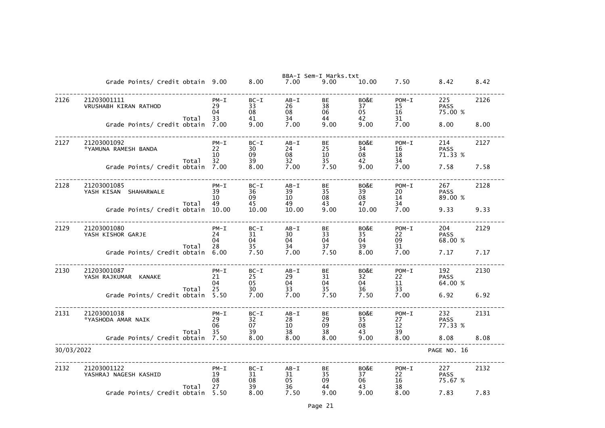|            |                                               |                            |                          |                            | BBA-I Sem-I Marks.txt |                        |                           |                               |      |
|------------|-----------------------------------------------|----------------------------|--------------------------|----------------------------|-----------------------|------------------------|---------------------------|-------------------------------|------|
|            | Grade Points/ Credit obtain 9.00              |                            | 8.00                     | 7.00                       | 9.00                  | 10.00                  | 7.50                      | 8.42                          | 8.42 |
| 2126       | 21203001111<br>VRUSHABH KIRAN RATHOD<br>Total | $PM - I$<br>29<br>04<br>33 | $BC-I$<br>33<br>08<br>41 | $AB - I$<br>26<br>08<br>34 | BE<br>38<br>06<br>44  | BO&E<br>37<br>05<br>42 | $POM-T$<br>15<br>16<br>31 | 225<br><b>PASS</b><br>75.00 % | 2126 |
|            | Grade Points/ Credit obtain                   | 7.00                       | 9.00                     | 7.00                       | 9.00                  | 9.00                   | 7.00                      | 8.00                          | 8.00 |
| 2127       | 21203001092<br>*YAMUNA RAMESH BANDA<br>Total  | $PM - I$<br>22<br>10<br>32 | $BC-I$<br>30<br>09<br>39 | $AB - I$<br>24<br>08<br>32 | BE<br>25<br>10<br>35  | BO&E<br>34<br>08<br>42 | $POM-T$<br>16<br>18<br>34 | 214<br><b>PASS</b><br>71.33 % | 2127 |
|            | Grade Points/ Credit obtain                   | 7.00                       | 8.00                     | 7.00                       | 7.50                  | 9.00                   | 7.00                      | 7.58                          | 7.58 |
| 2128       | 21203001085<br>YASH KISAN SHAHARWALE<br>Total | $PM - I$<br>39<br>10<br>49 | $BC-I$<br>36<br>09<br>45 | $AB - I$<br>39<br>10<br>49 | BE<br>35<br>08<br>43  | BO&E<br>39<br>08<br>47 | $POM-T$<br>20<br>14<br>34 | 267<br><b>PASS</b><br>89.00 % | 2128 |
|            | Grade Points/ Credit obtain                   | 10.00                      | 10.00                    | 10.00                      | 9.00                  | 10.00                  | 7.00                      | 9.33                          | 9.33 |
| 2129       | 21203001080<br>YASH KISHOR GARJE              | $PM - I$<br>24<br>04       | $BC-I$<br>31<br>04       | $AB - I$<br>30<br>04       | BE<br>33<br>04        | BO&E<br>35<br>04       | $POM-I$<br>22<br>09       | 204<br><b>PASS</b><br>68.00 % | 2129 |
|            | Total<br>Grade Points/ Credit obtain          | 28<br>6.00                 | 35<br>7.50               | 34<br>7.00                 | 37<br>7.50            | 39<br>8.00             | 31<br>7.00                | 7.17                          | 7.17 |
| 2130       | 21203001087<br>YASH RAJKUMAR KANAKE<br>Total  | $PM - I$<br>21<br>04<br>25 | $BC-I$<br>25<br>05<br>30 | $AB - I$<br>29<br>04<br>33 | BE<br>31<br>04<br>35  | BO&E<br>32<br>04<br>36 | $POM-T$<br>22<br>11<br>33 | 192<br><b>PASS</b><br>64.00 % | 2130 |
|            | Grade Points/ Credit obtain                   | 5.50                       | 7.00                     | 7.00                       | 7.50                  | 7.50                   | 7.00                      | 6.92                          | 6.92 |
| 2131       | 21203001038<br>*YASHODA AMAR NAIK<br>Total    | $PM - I$<br>29<br>06<br>35 | $BC-I$<br>32<br>07<br>39 | $AB - I$<br>28<br>10<br>38 | BE<br>29<br>09<br>38  | BO&E<br>35<br>08<br>43 | $POM-I$<br>27<br>12<br>39 | 232<br><b>PASS</b><br>77.33 % | 2131 |
|            | Grade Points/ Credit obtain                   | 7.50                       | 8.00                     | 8.00                       | 8.00                  | 9.00                   | 8.00                      | 8.08                          | 8.08 |
| 30/03/2022 |                                               |                            |                          |                            |                       |                        |                           | PAGE NO. 16                   |      |
| 2132       | 21203001122<br>YASHRAJ NAGESH KASHID<br>Total | $PM - I$<br>19<br>08<br>27 | $BC-I$<br>31<br>08<br>39 | $AB - I$<br>31<br>05<br>36 | BE<br>35<br>09<br>44  | BO&E<br>37<br>06<br>43 | $POM-T$<br>22<br>16<br>38 | 227<br><b>PASS</b><br>75.67 % | 2132 |
|            | Grade Points/ Credit obtain                   | 5.50                       | 8.00                     | 7.50                       | 9.00                  | 9.00                   | 8.00                      | 7.83                          | 7.83 |